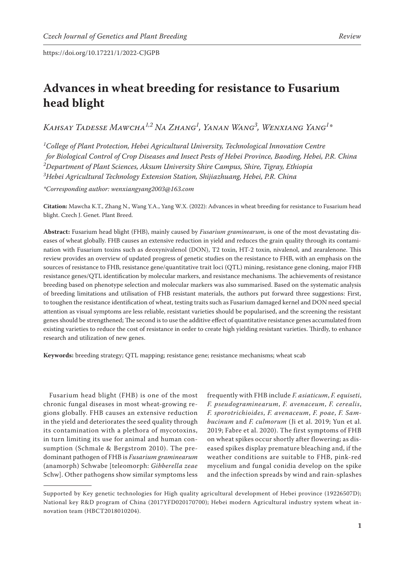# **Advances in wheat breeding for resistance to Fusarium head blight**

*Kahsay Tadesse Mawcha1,2 Na Zhang1 , Yanan Wang3 , Wenxiang Yang1 \**

 *College of Plant Protection, Hebei Agricultural University, Technological Innovation Centre for Biological Control of Crop Diseases and Insect Pests of Hebei Province, Baoding, Hebei, P.R. China Department of Plant Sciences, Aksum University Shire Campus, Shire, Tigray, Ethiopia Hebei Agricultural Technology Extension Station, Shijiazhuang, Hebei, P.R. China*

*\*Corresponding author: wenxiangyang2003@163.com*

**Citation:** Mawcha K.T., Zhang N., Wang Y.A., Yang W.X. (2022): Advances in wheat breeding for resistance to Fusarium head blight. Czech J. Genet. Plant Breed.

**Abstract:** Fusarium head blight (FHB), mainly caused by *Fusarium graminearum*, is one of the most devastating diseases of wheat globally. FHB causes an extensive reduction in yield and reduces the grain quality through its contamination with Fusarium toxins such as deoxynivalenol (DON), T2 toxin, HT-2 toxin, nivalenol, and zearalenone. This review provides an overview of updated progress of genetic studies on the resistance to FHB, with an emphasis on the sources of resistance to FHB, resistance gene/quantitative trait loci (QTL) mining, resistance gene cloning, major FHB resistance genes/QTL identification by molecular markers, and resistance mechanisms. The achievements of resistance breeding based on phenotype selection and molecular markers was also summarised. Based on the systematic analysis of breeding limitations and utilisation of FHB resistant materials, the authors put forward three suggestions: First, to toughen the resistance identification of wheat, testing traits such as Fusarium damaged kernel and DON need special attention as visual symptoms are less reliable, resistant varieties should be popularised, and the screening the resistant genes should be strengthened; The second is to use the additive effect of quantitative resistance genes accumulated from existing varieties to reduce the cost of resistance in order to create high yielding resistant varieties. Thirdly, to enhance research and utilization of new genes.

**Keywords:** breeding strategy; QTL mapping; resistance gene; resistance mechanisms; wheat scab

Fusarium head blight (FHB) is one of the most chronic fungal diseases in most wheat-growing regions globally. FHB causes an extensive reduction in the yield and deteriorates the seed quality through its contamination with a plethora of mycotoxins, in turn limiting its use for animal and human consumption (Schmale & Bergstrom 2010). The predominant pathogen of FHB is *Fusarium graminearum* (anamorph) Schwabe [teleomorph: *Gibberella zeae* Schw]. Other pathogens show similar symptoms less

frequently with FHB include *F. asiaticum*, *F. equiseti*, *F. pseudograminearum*, *F. avenaceum*, *F. cerealis*, *F. sporotrichioides*, *F. avenaceum*, *F. poae*, *F. Sambucinum* and *F. culmorum* (Ji et al. 2019; Yun et al. 2019; Fabre et al. 2020). The first symptoms of FHB on wheat spikes occur shortly after flowering; as diseased spikes display premature bleaching and, if the weather conditions are suitable to FHB, pink-red mycelium and fungal conidia develop on the spike and the infection spreads by wind and rain-splashes

Supported by Key genetic technologies for High quality agricultural development of Hebei province (19226507D); National key R&D program of China (2017YFD020170700); Hebei modern Agricultural industry system wheat innovation team (HBCT2018010204).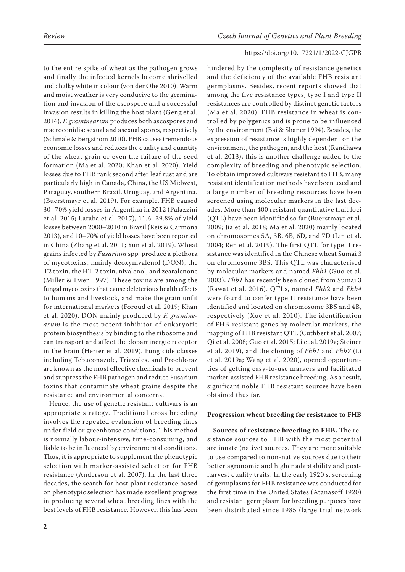to the entire spike of wheat as the pathogen grows and finally the infected kernels become shrivelled and chalky white in colour (von der Ohe 2010). Warm and moist weather is very conducive to the germination and invasion of the ascospore and a successful invasion results in killing the host plant (Geng et al. 2014). *F. graminearum* produces both ascospores and macroconidia: sexual and asexual spores, respectively (Schmale & Bergstrom 2010). FHB causes tremendous economic losses and reduces the quality and quantity of the wheat grain or even the failure of the seed formation (Ma et al. 2020; Khan et al*.* 2020). Yield losses due to FHB rank second after leaf rust and are particularly high in Canada, China, the US Midwest, Paraguay, southern Brazil, Uruguay, and Argentina. (Buerstmayr et al. 2019). For example, FHB caused 30–70% yield losses in Argentina in 2012 (Palazzini et al. 2015; Laraba et al. 2017), 11.6–39.8% of yield losses between 2000–2010 in Brazil (Reis & Carmona 2013), and 10–70% of yield losses have been reported in China (Zhang et al. 2011; Yun et al*.* 2019). Wheat grains infected by *Fusarium* spp*.* produce a plethora of mycotoxins, mainly deoxynivalenol (DON), the T2 toxin, the HT-2 toxin, nivalenol, and zearalenone (Miller & Ewen 1997). These toxins are among the fungal mycotoxins that cause deleterious health effects to humans and livestock, and make the grain unfit for international markets (Foroud et al. 2019; Khan et al*.* 2020). DON mainly produced by *F. graminearum* is the most potent inhibitor of eukaryotic protein biosynthesis by binding to the ribosome and can transport and affect the dopaminergic receptor in the brain (Herter et al. 2019). Fungicide classes including Tebuconazole, Triazoles, and Prochloraz are known as the most effective chemicals to prevent and suppress the FHB pathogen and reduce Fusarium toxins that contaminate wheat grains despite the resistance and environmental concerns.

Hence, the use of genetic resistant cultivars is an appropriate strategy. Traditional cross breeding involves the repeated evaluation of breeding lines under field or greenhouse conditions. This method is normally labour-intensive, time-consuming, and liable to be influenced by environmental conditions. Thus, it is appropriate to supplement the phenotypic selection with marker-assisted selection for FHB resistance (Anderson et al. 2007). In the last three decades, the search for host plant resistance based on phenotypic selection has made excellent progress in producing several wheat breeding lines with the best levels of FHB resistance. However, this has been hindered by the complexity of resistance genetics and the deficiency of the available FHB resistant germplasms. Besides, recent reports showed that among the five resistance types, type I and type II resistances are controlled by distinct genetic factors (Ma et al. 2020). FHB resistance in wheat is controlled by polygenics and is prone to be influenced by the environment (Bai & Shaner 1994). Besides, the expression of resistance is highly dependent on the environment, the pathogen, and the host (Randhawa et al. 2013), this is another challenge added to the complexity of breeding and phenotypic selection. To obtain improved cultivars resistant to FHB, many resistant identification methods have been used and a large number of breeding resources have been screened using molecular markers in the last decades. More than 400 resistant quantitative trait loci (QTL) have been identified so far (Buerstmayr et al. 2009; Jia et al. 2018; Ma et al. 2020) mainly located on chromosomes 5A, 3B, 6B, 6D, and 7D (Lin et al. 2004; Ren et al. 2019). The first QTL for type II resistance was identified in the Chinese wheat Sumai 3 on chromosome 3BS. This QTL was characterised by molecular markers and named *Fhb1* (Guo et al. 2003). *Fhb1* has recently been cloned from Sumai 3 (Rawat et al. 2016). QTLs, named *Fhb*2 and *Fhb4* were found to confer type II resistance have been identified and located on chromosome 3BS and 4B, respectively (Xue et al. 2010). The identification of FHB-resistant genes by molecular markers, the mapping of FHB resistant QTL (Cuthbert et al. 2007; Qi et al. 2008; Guo et al. 2015; Li et al. 2019a; Steiner et al. 2019), and the cloning of *Fhb1* and *Fhb7* (Li et al. 2019a; Wang et al. 2020), opened opportunities of getting easy-to-use markers and facilitated marker-assisted FHB resistance breeding. As a result, significant noble FHB resistant sources have been obtained thus far.

### **Progression wheat breeding for resistance to FHB**

S**ources of resistance breeding to FHB.** The resistance sources to FHB with the most potential are innate (native) sources. They are more suitable to use compared to non-native sources due to their better agronomic and higher adaptability and postharvest quality traits. In the early 1920 s, screening of germplasms for FHB resistance was conducted for the first time in the United States (Atanasoff 1920) and resistant germplasm for breeding purposes have been distributed since 1985 (large trial network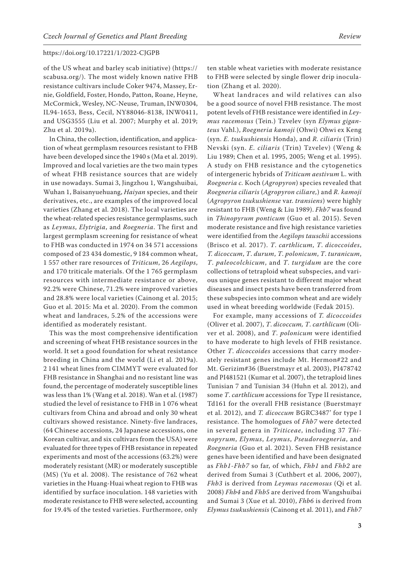of the US wheat and barley scab initiative) (https:// scabusa.org/). The most widely known native FHB resistance cultivars include Coker 9474, Massey, Ernie, Goldfield, Foster, Hondo, Patton, Roane, Heyne, McCormick, Wesley, NC-Neuse, Truman, INW0304, IL94-1653, Bess, Cecil, NY88046-8138, INW0411, and USG3555 (Liu et al. 2007; Murphy et al. 2019; Zhu et al. 2019a).

In China, the collection, identification, and application of wheat germplasm resources resistant to FHB have been developed since the 1940 s (Ma et al. 2019). Improved and local varieties are the two main types of wheat FHB resistance sources that are widely in use nowadays. Sumai 3, Jingzhou 1, Wangshuibai, Wuhan 1, Baisanyuehuang, *Haiyan* species, and their derivatives, etc., are examples of the improved local varieties (Zhang et al. 2018). The local varieties are the wheat-related species resistance germplasms, such as *Leymus*, *Elytrigia*, and *Roegneria*. The first and largest germplasm screening for resistance of wheat to FHB was conducted in 1974 on 34 571 accessions composed of 23 434 domestic, 9 184 common wheat, 1 557 other rare resources of *Triticum*, 26 *Aegilops*, and 170 triticale materials. Of the 1 765 germplasm resources with intermediate resistance or above, 92.2% were Chinese, 71.2% were improved varieties and 28.8% were local varieties (Cainong et al. 2015; Guo et al. 2015: Ma et al. 2020). From the common wheat and landraces, 5.2% of the accessions were identified as moderately resistant.

This was the most comprehensive identification and screening of wheat FHB resistance sources in the world. It set a good foundation for wheat resistance breeding in China and the world (Li et al. 2019a). 2 141 wheat lines from CIMMYT were evaluated for FHB resistance in Shanghai and no resistant line was found, the percentage of moderately susceptible lines was less than 1% (Wang et al. 2018). Wan et al. (1987) studied the level of resistance to FHB in 1 076 wheat cultivars from China and abroad and only 30 wheat cultivars showed resistance. Ninety-five landraces, (64 Chinese accessions, 24 Japanese accessions, one Korean cultivar, and six cultivars from the USA) were evaluated for three types of FHB resistance in repeated experiments and most of the accessions (63.2%) were moderately resistant (MR) or moderately susceptible (MS) (Yu et al. 2008). The resistance of 762 wheat varieties in the Huang-Huai wheat region to FHB was identified by surface inoculation. 148 varieties with moderate resistance to FHB were selected, accounting for 19.4% of the tested varieties. Furthermore, only

ten stable wheat varieties with moderate resistance to FHB were selected by single flower drip inoculation (Zhang et al. 2020).

Wheat landraces and wild relatives can also be a good source of novel FHB resistance. The most potent levels of FHB resistance were identified in *Leymus racemosus* (Tein.) Tzvelev (syn *Elymus giganteus* Vahl.), *Roegneria kamoji* (Ohwi) Ohwi ex Keng (syn. *E. tsukushiensis* Honda), and *R. ciliaris* (Trin) Nevski (syn. *E. ciliaris* (Trin) Tzvelev) (Weng & Liu 1989; Chen et al. 1995, 2005; Weng et al. 1995). A study on FHB resistance and the cytogenetics of intergeneric hybrids of *Triticum aestivum* L. with *Roegneria c.* Koch (*Agropyron*) species revealed that *Roegneria ciliaris* (*Agropyron ciliare,*) and *R. kamoji* (*Agropyron tsukushiense* var. *transiens*) were highly resistant to FHB (Weng & Liu 1989). *Fhb7* was found in *Thinopyrum ponticum* (Guo et al. 2015). Seven moderate resistance and five high resistance varieties were identified from the *Aegilops tauschii* accessions (Brisco et al. 2017). *T*. *carthlicum*, *T*. *dicoccoides*, *T. dicoccum*, *T*. *durum*, *T*. *polonicum*, *T*. *turanicum*, *T*. *paleocolchicum*, and *T*. *turgidum* are the core collections of tetraploid wheat subspecies, and various unique genes resistant to different major wheat diseases and insect pests have been transferred from these subspecies into common wheat and are widely used in wheat breeding worldwide (Fedak 2015).

For example, many accessions of *T. dicoccoides* (Oliver et al. 2007), *T*. *dicoccum, T*. *carthlicum* (Oliver et al. 2008), and *T*. *polonicum* were identified to have moderate to high levels of FHB resistance. Other *T*. *dicoccoides* accessions that carry moderately resistant genes include Mt. Hermon#22 and Mt. Gerizim#36 (Buerstmayr et al. 2003), PI478742 and PI481521 (Kumar et al. 2007), the tetraploid lines Tunisian 7 and Tunisian 34 (Huhn et al*.* 2012), and some *T*. *carthlicum* accessions for Type II resistance, Td161 for the overall FHB resistance (Buerstmayr et al. 2012), and *T. dicoccum* BGRC3487' for type I resistance. The homologues of *Fhb7* were detected in several genera in *Triticeae*, including 37 *Thinopyrum*, *Elymus*, *Leymus*, *Pseudoroegneria*, and *Roegneria* (Guo et al. 2021). Seven FHB resistance genes have been identified and have been designated as *Fhb1*-*Fhb7* so far, of which, *Fhb1* and *Fhb2* are derived from Sumai 3 (Cuthbert et al*.* 2006, 2007), *Fhb3* is derived from *Leymus racemosus* (Qi et al. 2008) *Fhb4* and *Fhb5* are derived from Wangshuibai and Sumai 3 (Xue et al. 2010), *Fhb6* is derived from *Elymus tsukushiensis* (Cainong et al. 2011), and *Fhb7*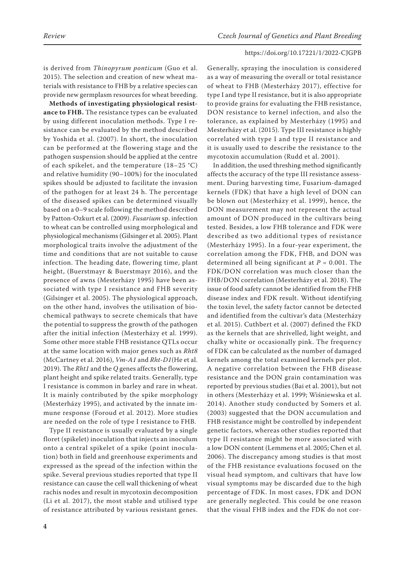is derived from *Thinopyrum ponticum* (Guo et al. 2015). The selection and creation of new wheat materials with resistance to FHB by a relative species can provide new germplasm resources for wheat breeding.

**Methods of investigating physiological resistance to FHB.** The resistance types can be evaluated by using different inoculation methods. Type I resistance can be evaluated by the method described by Yoshida et al. (2007). In short, the inoculation can be performed at the flowering stage and the pathogen suspension should be applied at the centre of each spikelet, and the temperature (18–25 °C) and relative humidity (90–100%) for the inoculated spikes should be adjusted to facilitate the invasion of the pathogen for at least 24 h. The percentage of the diseased spikes can be determined visually based on a 0–9 scale following the method described by Patton-Ozkurt et al. (2009). *Fusarium* sp. infection to wheat can be controlled using morphological and physiological mechanisms (Gilsinger et al. 2005). Plant morphological traits involve the adjustment of the time and conditions that are not suitable to cause infection. The heading date, flowering time, plant height, (Buerstmayr & Buerstmayr 2016), and the presence of awns (Mesterházy 1995) have been associated with type I resistance and FHB severity (Gilsinger et al. 2005). The physiological approach, on the other hand, involves the utilisation of biochemical pathways to secrete chemicals that have the potential to suppress the growth of the pathogen after the initial infection (Mesterházy et al. 1999). Some other more stable FHB resistance QTLs occur at the same location with major genes such as *Rht8* (McCartney et al. 2016), *Vm-A1* and *Rht-D1*(He et al. 2019). The *Rht1* and the *Q* genes affects the flowering, plant height and spike related traits. Generally, type I resistance is common in barley and rare in wheat. It is mainly contributed by the spike morphology (Mesterházy 1995), and activated by the innate immune response (Foroud et al. 2012). More studies are needed on the role of type I resistance to FHB.

Type II resistance is usually evaluated by a single floret (spikelet) inoculation that injects an inoculum onto a central spikelet of a spike (point inoculation) both in field and greenhouse experiments and expressed as the spread of the infection within the spike. Several previous studies reported that type II resistance can cause the cell wall thickening of wheat rachis nodes and result in mycotoxin decomposition (Li et al. 2017), the most stable and utilised type of resistance attributed by various resistant genes.

Generally, spraying the inoculation is considered as a way of measuring the overall or total resistance of wheat to FHB (Mesterházy 2017), effective for type I and type II resistance, but it is also appropriate to provide grains for evaluating the FHB resistance, DON resistance to kernel infection, and also the tolerance, as explained by Mesterházy (1995) and Mesterházy et al. (2015). Type III resistance is highly correlated with type I and type II resistance and it is usually used to describe the resistance to the mycotoxin accumulation (Rudd et al. 2001).

In addition, the used threshing method significantly affects the accuracy of the type III resistance assessment. During harvesting time, Fusarium-damaged kernels (FDK) that have a high level of DON can be blown out (Mesterházy et al. 1999), hence, the DON measurement may not represent the actual amount of DON produced in the cultivars being tested. Besides, a low FHB tolerance and FDK were described as two additional types of resistance (Mesterházy 1995). In a four-year experiment, the correlation among the FDK, FHB, and DON was determined all being significant at *P* = 0.001. The FDK/DON correlation was much closer than the FHB/DON correlation (Mesterházy et al. 2018). The issue of food safety cannot be identified from the FHB disease index and FDK result. Without identifying the toxin level, the safety factor cannot be detected and identified from the cultivar's data (Mesterházy et al. 2015). Cuthbert et al. (2007) defined the FKD as the kernels that are shrivelled, light weight, and chalky white or occasionally pink. The frequency of FDK can be calculated as the number of damaged kernels among the total examined kernels per plot. A negative correlation between the FHB disease resistance and the DON grain contamination was reported by previous studies (Bai et al. 2001), but not in others (Mesterházy et al. 1999; Wiśniewska et al. 2014). Another study conducted by Somers et al. (2003) suggested that the DON accumulation and FHB resistance might be controlled by independent genetic factors, whereas other studies reported that type II resistance might be more associated with a low DON content (Lemmens et al. 2005; Chen et al. 2006). The discrepancy among studies is that most of the FHB resistance evaluations focused on the visual head symptom, and cultivars that have low visual symptoms may be discarded due to the high percentage of FDK. In most cases, FDK and DON are generally neglected. This could be one reason that the visual FHB index and the FDK do not cor-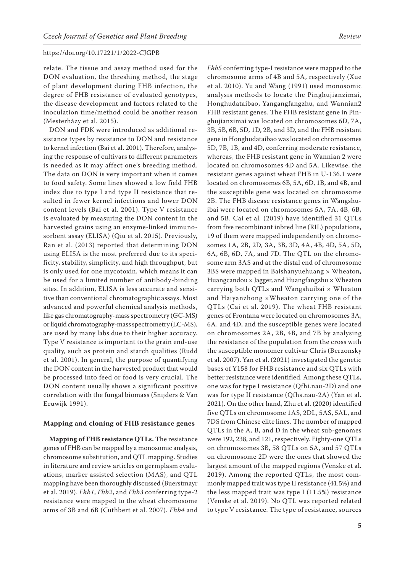relate. The tissue and assay method used for the DON evaluation, the threshing method, the stage of plant development during FHB infection, the degree of FHB resistance of evaluated genotypes, the disease development and factors related to the inoculation time/method could be another reason (Mesterházy et al. 2015).

DON and FDK were introduced as additional resistance types by resistance to DON and resistance to kernel infection (Bai et al. 2001). Therefore, analysing the response of cultivars to different parameters is needed as it may affect one's breeding method. The data on DON is very important when it comes to food safety. Some lines showed a low field FHB index due to type I and type II resistance that resulted in fewer kernel infections and lower DON content levels (Bai et al. 2001). Type V resistance is evaluated by measuring the DON content in the harvested grains using an enzyme-linked immunosorbent assay (ELISA) (Qiu et al. 2015). Previously, Ran et al. (2013) reported that determining DON using ELISA is the most preferred due to its specificity, stability, simplicity, and high throughput, but is only used for one mycotoxin, which means it can be used for a limited number of antibody-binding sites. In addition, ELISA is less accurate and sensitive than conventional chromatographic assays. Most advanced and powerful chemical analysis methods, like gas chromatography-mass spectrometry (GC-MS) or liquid chromatography-mass spectrometry (LC-MS), are used by many labs due to their higher accuracy. Type V resistance is important to the grain end-use quality, such as protein and starch qualities (Rudd et al. 2001). In general, the purpose of quantifying the DON content in the harvested product that would be processed into feed or food is very crucial. The DON content usually shows a significant positive correlation with the fungal biomass (Snijders & Van Eeuwijk 1991).

### **Mapping and cloning of FHB resistance genes**

**Mapping of FHB resistance QTLs.** The resistance genes of FHB can be mapped by a monosomic analysis, chromosome substitution, and QTL mapping. Studies in literature and review articles on germplasm evaluations, marker assisted selection (MAS), and QTL mapping have been thoroughly discussed (Buerstmayr et al. 2019). *Fhb1*, *Fhb2*, and *Fhb3* conferring type-2 resistance were mapped to the wheat chromosome arms of 3B and 6B (Cuthbert et al. 2007). *Fhb4* and

*Fhb5* conferring type-I resistance were mapped to the chromosome arms of 4B and 5A, respectively (Xue et al. 2010). Yu and Wang (1991) used monosomic analysis methods to locate the Pinghujianzimai, Honghudataibao, Yangangfangzhu, and Wannian2 FHB resistant genes. The FHB resistant gene in Pinghujianzimai was located on chromosomes 6D, 7A, 3B, 5B, 6B, 5D, 1D, 2B, and 3D, and the FHB resistant gene in Honghudataibao was located on chromosomes 5D, 7B, 1B, and 4D, conferring moderate resistance, whereas, the FHB resistant gene in Wannian 2 were located on chromosomes 4D and 5A. Likewise, the resistant genes against wheat FHB in U-136.1 were located on chromosomes 6B, 5A, 6D, 1B, and 4B, and the susceptible gene was located on chromosome 2B. The FHB disease resistance genes in Wangshuibai were located on chromosomes 5A, 7A, 4B, 6B, and 5B. Cai et al*.* (2019) have identified 31 QTLs from five recombinant inbred line (RIL) populations, 19 of them were mapped independently on chromosomes 1A, 2B, 2D, 3A, 3B, 3D, 4A, 4B, 4D, 5A, 5D, 6A, 6B, 6D, 7A, and 7D. The QTL on the chromosome arm 3AS and at the distal end of chromosome 3BS were mapped in Baishanyuehuang  $\times$  Wheaton, Huangcandou × Jagger, and Huangfangzhu × Wheaton carrying both QTLs and Wangshuibai × Wheaton and Haiyanzhong ×Wheaton carrying one of the QTLs (Cai et al. 2019). The wheat FHB resistant genes of Frontana were located on chromosomes 3A, 6A, and 4D, and the susceptible genes were located on chromosomes 2A, 2B, 4B, and 7B by analysing the resistance of the population from the cross with the susceptible monomer cultivar Chris (Berzonsky et al. 2007). Yan et al. (2021) investigated the genetic bases of Y158 for FHB resistance and six QTLs with better resistance were identified. Among these QTLs, one was for type I resistance (Qfhi.nau-2D) and one was for type II resistance (Qfhs.nau-2A) (Yan et al. 2021). On the other hand, Zhu et al. (2020) identified five QTLs on chromosome 1AS, 2DL, 5AS, 5AL, and 7DS from Chinese elite lines. The number of mapped QTLs in the A, B, and D in the wheat sub-genomes were 192, 238, and 121, respectively. Eighty-one QTLs on chromosomes 3B, 58 QTLs on 5A, and 57 QTLs on chromosome 2D were the ones that showed the largest amount of the mapped regions (Venske et al. 2019). Among the reported QTLs, the most commonly mapped trait was type II resistance (41.5%) and the less mapped trait was type I (11.5%) resistance (Venske et al. 2019). No QTL was reported related to type V resistance. The type of resistance, sources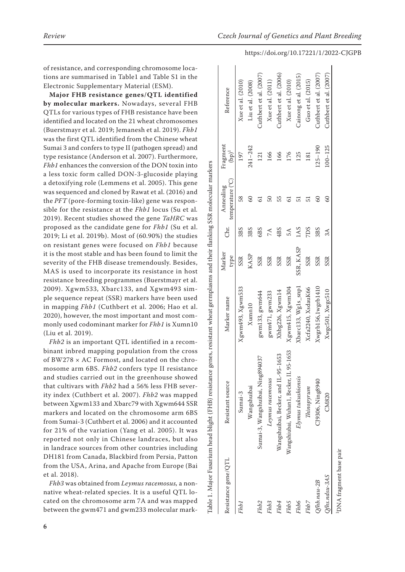of resistance, and corresponding chromosome loca tions are summarised in Table1 and [Table S1](https://www.agriculturejournals.cz/publicFiles/401380.pdf) in the Electronic Supplementary Material (ESM).

**Major FHB resistance genes/QTL identified by molecular markers.** Nowadays, several FHB QTLs for various types of FHB resistance have been identified and located on the 21 wheat chromosomes (Buerstmayr et al. 2019; Jemanesh et al. 2019). *Fhb1* was the first QTL identified from the Chinese wheat Sumai 3 and confers to type II (pathogen spread) and type resistance (Anderson et al. 2007). Furthermore, *Fhb1* enhances the conversion of the DON toxin into a less toxic form called DON-3-glucoside playing a detoxifying role (Lemmens et al. 2005). This gene was sequenced and cloned by Rawat et al. (2016) and the *PFT* (pore-forming toxin-like) gene was respon sible for the resistance at the *Fhb1* locus (Su et al *.* 2019). Recent studies showed the gene *TaHRC* was proposed as the candidate gene for *Fhb1* (Su et al. 2019; Li et al. 2019b). Most of (60.90%) the studies on resistant genes were focused on *Fhb1* because it is the most stable and has been found to limit the severity of the FHB disease tremendously. Besides, MAS is used to incorporate its resistance in host resistance breeding programmes (Buerstmayr et al. 2009). Xgwm533, Xbarc133, and Xgwm493 sim ple sequence repeat (SSR) markers have been used in mapping *Fhb1* (Cuthbert et al. 2006; Hao et al. 2020), however, the most important and most com monly used codominant marker for *Fhb1* is Xumn10 (Liu et al. 2019).

*Fhb2* is an important QTL identified in a recom binant inbred mapping population from the cross of BW278 × AC Formost, and located on the chro mosome arm 6BS. *Fhb2* confers type II resistance and studies carried out in the greenhouse showed that cultivars with *Fhb2* had a 56% less FHB sever ity index (Cuthbert et al. 2007). *Fhb2* was mapped between Xgwm133 and Xbarc79 with Xgwm644 SSR markers and located on the chromosome arm 6BS from Sumai-3 (Cuthbert et al. 2006) and it accounted for 21% of the variation (Yang et al. 2005). It was reported not only in Chinese landraces, but also in landrace sources from other countries including DH181 from Canada, Blackbird from Persia, Patton from the USA, Arina, and Apache from Europe (Bai et al. 2018).

*Fhb3* was obtained from *Leymus racemosus,* a nonnative wheat-related species. It is a useful QTL located on the chromosome arm 7A and was mapped between the gwm471 and gwm233 molecular mark -

|                        | Table 1. Major Fusarium head blight (FHB) resistance genes, resistant wheat germplasms and their flanking SSR molecular markers |                     |                |               |                               |                      |                        |
|------------------------|---------------------------------------------------------------------------------------------------------------------------------|---------------------|----------------|---------------|-------------------------------|----------------------|------------------------|
| Resistance gene/QTL    | Resistant source                                                                                                                | Marker name         | Marker<br>type | Chr.          | temperature (°C)<br>Annealing | Fragment<br>$(bp)^1$ | Reference              |
| Fhb1                   | Sumai-3                                                                                                                         | Xgwm493, Xgwm533    | SSR            | 3BS           | 58                            | 197                  | Xue et al. (2010)      |
|                        | Wangshuibai                                                                                                                     | Xumn10              | KASP           | 3BS           | 8                             | $241 - 242$          | Liu et al. (2008)      |
| Fhb <sub>2</sub>       | Sumai-3, Wangshuibai, Ning894037                                                                                                | gwm133, gwm644      | SSR            | 6BS           |                               | 121                  | Cuthbert et al. (2007) |
| Fh <sub>b3</sub>       | Leymus racemosus                                                                                                                | gwm471, gwm233      | SSR            | $7\text{\AA}$ | 50                            | 166                  | Xue et al. (2011)      |
| Fhb4                   | Wangshuibai, Becker, and IL-95-1653                                                                                             | Xhbg226, Xgwm14     | SSR            | 4BS           | 55                            | 166                  | Cuthbert et al. (2006) |
| Fh <sub>b5</sub>       | Wangshiubai, Wuhan1, Becker, IL 95-1653                                                                                         | Xgwm415, Xgwm304    | <b>SSR</b>     | 5A            | ತ                             | 176                  | Xue et al. (2010)      |
| Fhb6                   | Elymus tukushiensis                                                                                                             | Xbarc133, Wg1s_snp1 | SSR, KASP      | 1AS           |                               | 125                  | Cainong et al. (2015)  |
| Fhb7                   | This                                                                                                                            | Xcfa2240, XsdauK66  | SSR            | <b>SCLZ</b>   |                               | 181                  | Guo et al. (2015)      |
| $Qfhb, nau - 2B$       | CJ9306, Ning8940                                                                                                                | Xwgrb156,1wgrb1410  | SSR            | 3BS           | 8                             | $125 - 190$          | Cuthbert et al. (2007) |
| $Q$ fhs.ndsu-3AS       | CM820                                                                                                                           | Xwgc501, Xwgc510    | SSR            | 3A            | 8                             | $100 - 125$          | Cuthbert et al. (2007) |
| DNA fragment base pair |                                                                                                                                 |                     |                |               |                               |                      |                        |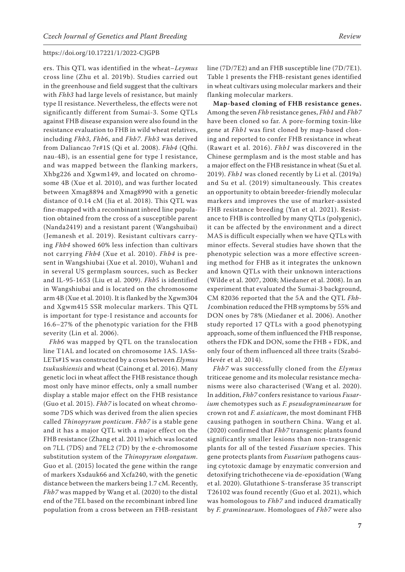ers. This QTL was identified in the wheat–*Leymus* cross line (Zhu et al. 2019b). Studies carried out in the greenhouse and field suggest that the cultivars with *Fhb3* had large levels of resistance, but mainly type II resistance. Nevertheless, the effects were not significantly different from Sumai-3. Some QTLs against FHB disease expansion were also found in the resistance evaluation to FHB in wild wheat relatives, including *Fhb3*, *Fhb6*, and *Fhb7*. *Fhb3* was derived from Daliancao 7r#1S (Qi et al. 2008). *Fhb4* (Qfhi. nau-4B), is an essential gene for type I resistance, and was mapped between the flanking markers, Xhbg226 and Xgwm149, and located on chromosome 4B (Xue et al. 2010), and was further located between Xmag8894 and Xmag8990 with a genetic distance of 0.14 cM (Jia et al. 2018). This QTL was fine-mapped with a recombinant inbred line population obtained from the cross of a susceptible parent (Nanda2419) and a resistant parent (Wangshuibai) (Jemanesh et al. 2019). Resistant cultivars carrying *Fhb4* showed 60% less infection than cultivars not carrying *Fhb4* (Xue et al. 2010). *Fhb4* is present in Wangshiubai (Xue et al. 2010), Wuhan1 and in several US germplasm sources, such as Becker and IL-95-1653 (Liu et al. 2009). *Fhb5* is identified in Wangshiubai and is located on the chromosome arm 4B (Xue et al. 2010). It is flanked by the Xgwm304 and Xgwm415 SSR molecular markers. This QTL is important for type-I resistance and accounts for 16.6–27% of the phenotypic variation for the FHB severity (Lin et al. 2006).

*Fhb6* was mapped by QTL on the translocation line T1AL and located on chromosome 1AS. 1ASs-LETs#1S was constructed by a cross between *Elymus tsukushiensis* and wheat (Cainong et al. 2016). Many genetic loci in wheat affect the FHB resistance though most only have minor effects, only a small number display a stable major effect on the FHB resistance (Guo et al. 2015). *Fhb7* is located on wheat chromosome 7DS which was derived from the alien species called *Thinopyrum ponticum*. *Fhb7* is a stable gene and it has a major QTL with a major effect on the FHB resistance (Zhang et al. 2011) which was located on 7LL (7DS) and 7EL2 (7D) by the e-chromosome substitution system of the *Thinopyrum elongatum*. Guo et al. (2015) located the gene within the range of markers Xsdauk66 and Xcfa240, with the genetic distance between the markers being 1.7 cM. Recently, *Fhb7* was mapped by Wang et al. (2020) to the distal end of the 7EL based on the recombinant inbred line population from a cross between an FHB-resistant line (7D/7E2) and an FHB susceptible line (7D/7E1). Table 1 presents the FHB-resistant genes identified in wheat cultivars using molecular markers and their flanking molecular markers.

**Map-based cloning of FHB resistance genes.** Among the seven *Fhb* resistance genes, *Fhb1* and *Fhb7* have been cloned so far. A pore-forming toxin-like gene at *Fhb1* was first cloned by map-based cloning and reported to confer FHB resistance in wheat (Rawart et al. 2016). *Fhb1* was discovered in the Chinese germplasm and is the most stable and has a major effect on the FHB resistance in wheat (Su et al. 2019). *Fhb1* was cloned recently by Li et al. (2019a) and Su et al. (2019) simultaneously. This creates an opportunity to obtain breeder-friendly molecular markers and improves the use of marker-assisted FHB resistance breeding (Yan et al. 2021). Resistance to FHB is controlled by many QTLs (polygenic), it can be affected by the environment and a direct MAS is difficult especially when we have QTLs with minor effects. Several studies have shown that the phenotypic selection was a more effective screening method for FHB as it integrates the unknown and known QTLs with their unknown interactions (Wilde et al. 2007, 2008; Miedaner et al. 2008). In an experiment that evaluated the Sumai-3 background, CM 82036 reported that the 5A and the QTL *Fhb-1*combination reduced the FHB symptoms by 55% and DON ones by 78% (Miedaner et al. 2006). Another study reported 17 QTLs with a good phenotyping approach, some of them influenced the FHB response, others the FDK and DON, some the FHB + FDK, and only four of them influenced all three traits (Szabó-Hevér et al. 2014).

*Fhb7* was successfully cloned from the *Elymus* triticeae genome and its molecular resistance mechanisms were also characterised (Wang et al. 2020). In addition, *Fhb7* confers resistance to various *Fusarium* chemotypes such as *F. pseudograminearum* for crown rot and *F. asiaticum*, the most dominant FHB causing pathogen in southern China. Wang et al. (2020) confirmed that *Fhb7* transgenic plants found significantly smaller lesions than non-transgenic plants for all of the tested *Fusarium* species. This gene protects plants from *Fusarium* pathogens causing cytotoxic damage by enzymatic conversion and detoxifying trichothecene via de-epoxidation (Wang et al. 2020). Glutathione S-transferase 35 transcript T26102 was found recently (Guo et al. 2021), which was homologous to *Fhb7* and induced dramatically by *F. graminearum*. Homologues of *Fhb7* were also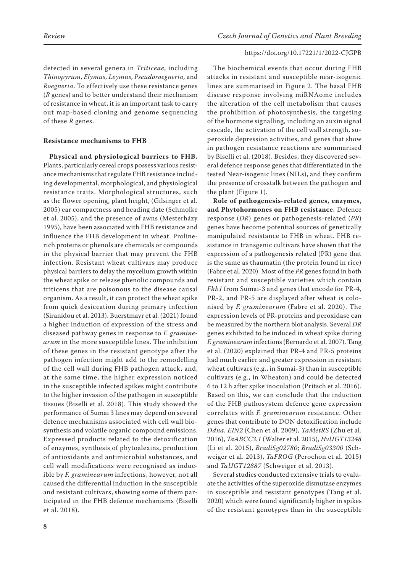detected in several genera in *Triticeae*, including *Thinopyrum*, *Elymus*, *Leymus*, *Pseudoroegneria,* and *Roegneria*. To effectively use these resistance genes (*R* genes) and to better understand their mechanism of resistance in wheat, it is an important task to carry out map-based cloning and genome sequencing of these *R* genes.

### **Resistance mechanisms to FHB**

**Physical and physiological barriers to FHB.** Plants, particularly cereal crops possess various resistance mechanisms that regulate FHB resistance including developmental, morphological, and physiological resistance traits. Morphological structures, such as the flower opening, plant height, (Gilsinger et al. 2005) ear compactness and heading date (Schmolke et al. 2005), and the presence of awns (Mesterházy 1995), have been associated with FHB resistance and influence the FHB development in wheat. Prolinerich proteins or phenols are chemicals or compounds in the physical barrier that may prevent the FHB infection. Resistant wheat cultivars may produce physical barriers to delay the mycelium growth within the wheat spike or release phenolic compounds and triticens that are poisonous to the disease causal organism. As a result, it can protect the wheat spike from quick desiccation during primary infection (Siranidou et al. 2013). Buerstmayr et al. (2021) found a higher induction of expression of the stress and diseased pathway genes in response to *F. graminearum* in the more susceptible lines. The inhibition of these genes in the resistant genotype after the pathogen infection might add to the remodelling of the cell wall during FHB pathogen attack, and, at the same time, the higher expression noticed in the susceptible infected spikes might contribute to the higher invasion of the pathogen in susceptible tissues (Biselli et al. 2018). This study showed the performance of Sumai 3 lines may depend on several defence mechanisms associated with cell wall biosynthesis and volatile organic compound emissions. Expressed products related to the detoxification of enzymes, synthesis of phytoalexins, production of antioxidants and antimicrobial substances, and cell wall modifications were recognised as inducible by *F. graminearum* infections, however, not all caused the differential induction in the susceptible and resistant cultivars, showing some of them participated in the FHB defence mechanisms (Biselli et al. 2018).

The biochemical events that occur during FHB attacks in resistant and susceptible near-isogenic lines are summarised in Figure 2. The basal FHB disease response involving miRNAome includes the alteration of the cell metabolism that causes the prohibition of photosynthesis, the targeting of the hormone signalling, including an auxin signal cascade, the activation of the cell wall strength, superoxide depression activities, and genes that show in pathogen resistance reactions are summarised by Biselli et al. (2018). Besides, they discovered several defence response genes that differentiated in the tested Near-isogenic lines (NILs), and they confirm the presence of crosstalk between the pathogen and the plant (Figure 1).

**Role of pathogenesis-related genes, enzymes, and Phytohormones on FHB resistance.** Defence response (*DR*) genes or pathogenesis-related (*PR*) genes have become potential sources of genetically manipulated resistance to FHB in wheat. FHB resistance in transgenic cultivars have shown that the expression of a pathogenesis related (PR) gene that is the same as thaumatin (the protein found in rice) (Fabre et al. 2020). Most of the *PR* genes found in both resistant and susceptible varieties which contain *Fhb1* from Sumai-3 and genes that encode for PR-4, PR-2, and PR-5 are displayed after wheat is colonised by *F. graminearum* (Fabre et al. 2020). The expression levels of PR-proteins and peroxidase can be measured by the northern blot analysis. Several *DR* genes exhibited to be induced in wheat spike during *F. graminearum* infections (Bernardo et al. 2007). Tang et al. (2020) explained that PR-4 and PR-5 proteins had much earlier and greater expression in resistant wheat cultivars (e.g., in Sumai-3) than in susceptible cultivars (e.g., in Wheaton) and could be detected 6 to 12 h after spike inoculation (Pritsch et al. 2016). Based on this, we can conclude that the induction of the FHB pathosystem defence gene expression correlates with *F. graminearum* resistance. Other genes that contribute to DON detoxification include *Ddna*, *EIN2* (Chen et al. 2009), *TaMetRS* (Zhu et al. 2016), *TaABCC3.1* (Walter et al. 2015), *HvUGT13248* (Li et al. 2015), *Bradi5g02780*; *Bradi5g03300* (Schweiger et al. 2013), *TaFROG* (Perochon et al. 2015) and *TaUGT12887* (Schweiger et al. 2013).

Several studies conducted extensive trials to evaluate the activities of the superoxide dismutase enzymes in susceptible and resistant genotypes (Tang et al. 2020) which were found significantly higher in spikes of the resistant genotypes than in the susceptible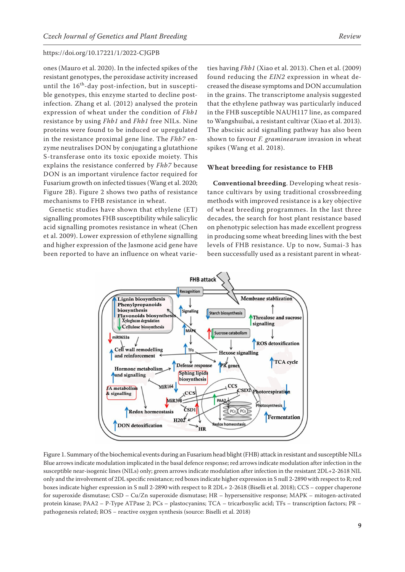ones (Mauro et al. 2020). In the infected spikes of the resistant genotypes, the peroxidase activity increased until the  $16<sup>th</sup>$ -day post-infection, but in susceptible genotypes, this enzyme started to decline postinfection. Zhang et al. (2012) analysed the protein expression of wheat under the condition of *Fhb1* resistance by using *Fhb1* and *Fhb1* free NILs. Nine proteins were found to be induced or upregulated in the resistance proximal gene line. The *Fhb7* enzyme neutralises DON by conjugating a glutathione S-transferase onto its toxic epoxide moiety. This explains the resistance conferred by *Fhb7* because DON is an important virulence factor required for Fusarium growth on infected tissues (Wang et al. 2020; Figure 2B). Figure 2 shows two paths of resistance mechanisms to FHB resistance in wheat.

Genetic studies have shown that ethylene (ET) signalling promotes FHB susceptibility while salicylic acid signalling promotes resistance in wheat (Chen et al. 2009). Lower expression of ethylene signalling and higher expression of the Jasmone acid gene have been reported to have an influence on wheat varie-

ties having *Fhb1* (Xiao et al. 2013). Chen et al. (2009) found reducing the *EIN2* expression in wheat decreased the disease symptoms and DON accumulation in the grains. The transcriptome analysis suggested that the ethylene pathway was particularly induced in the FHB susceptible NAUH117 line, as compared to Wangshuibai, a resistant cultivar (Xiao et al. 2013). The abscisic acid signalling pathway has also been shown to favour *F. graminearum* invasion in wheat spikes (Wang et al. 2018).

### **Wheat breeding for resistance to FHB**

**Conventional breeding**. Developing wheat resistance cultivars by using traditional crossbreeding methods with improved resistance is a key objective of wheat breeding programmes. In the last three decades, the search for host plant resistance based on phenotypic selection has made excellent progress in producing some wheat breeding lines with the best levels of FHB resistance. Up to now, Sumai-3 has been successfully used as a resistant parent in wheat-



Figure 1. Summary of the biochemical events during an Fusarium head blight (FHB) attack in resistant and susceptible NILs Blue arrows indicate modulation implicated in the basal defence response; red arrows indicate modulation after infection in the susceptible near-isogenic lines (NILs) only; green arrows indicate modulation after infection in the resistant 2DL+2-2618 NIL only and the involvement of 2DL specific resistance; red boxes indicate higher expression in S null 2-2890 with respect to R; red boxes indicate higher expression in S null 2-2890 with respect to R 2DL+ 2-2618 (Biselli et al. 2018); CCS – copper chaperone for superoxide dismutase; CSD – Cu/Zn superoxide dismutase; HR – hypersensitive response; MAPK – mitogen-activated protein kinase; PAA2 – P-Type ATPase 2; PCs – plastocyanins; TCA – tricarboxylic acid; TFs – transcription factors; PR – pathogenesis related; ROS − reactive oxygen synthesis (source: Biselli et al. 2018)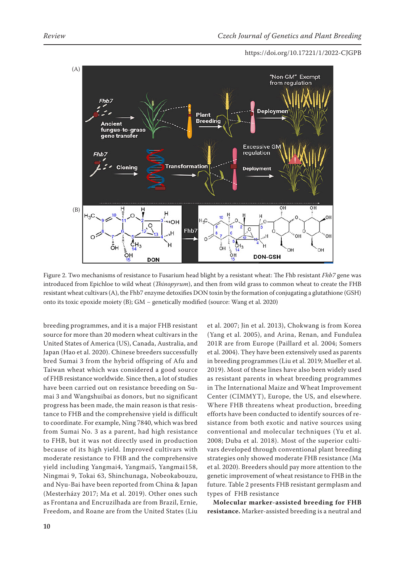

Figure 2. Two mechanisms of resistance to Fusarium head blight by a resistant wheat: The Fhb resistant *Fhb7* gene was introduced from Epichloe to wild wheat (*Thinopyrum*), and then from wild grass to common wheat to create the FHB resistant wheat cultivars (A), the Fhb7 enzyme detoxifies DON toxin by the formation of conjugating a glutathione (GSH) onto its toxic epoxide moiety (B); GM − genetically modified (source: Wang et al. 2020)

breeding programmes, and it is a major FHB resistant source for more than 20 modern wheat cultivars in the United States of America (US), Canada, Australia, and Japan (Hao et al. 2020). Chinese breeders successfully bred Sumai 3 from the hybrid offspring of Afu and Taiwan wheat which was considered a good source of FHB resistance worldwide. Since then, a lot of studies have been carried out on resistance breeding on Sumai 3 and Wangshuibai as donors, but no significant progress has been made, the main reason is that resistance to FHB and the comprehensive yield is difficult to coordinate. For example, Ning 7840, which was bred from Sumai No. 3 as a parent, had high resistance to FHB, but it was not directly used in production because of its high yield. Improved cultivars with moderate resistance to FHB and the comprehensive yield including Yangmai4, Yangmai5, Yangmai158, Ningmai 9, Tokai 63, Shinchunaga, Nobeokabouzu, and Nyu-Bai have been reported from China & Japan (Mesterházy 2017; Ma et al. 2019). Other ones such as Frontana and Encruzilhada are from Brazil, Ernie, Freedom, and Roane are from the United States (Liu

et al. 2007; Jin et al. 2013), Chokwang is from Korea (Yang et al. 2005), and Arina, Renan, and Fundulea 201R are from Europe (Paillard et al. 2004; Somers et al. 2004). They have been extensively used as parents in breeding programmes (Liu et al. 2019; Mueller et al. 2019). Most of these lines have also been widely used as resistant parents in wheat breeding programmes in The International Maize and Wheat Improvement Center (CIMMYT), Europe, the US, and elsewhere. Where FHB threatens wheat production, breeding efforts have been conducted to identify sources of resistance from both exotic and native sources using conventional and molecular techniques (Yu et al. 2008; Duba et al. 2018). Most of the superior cultivars developed through conventional plant breeding strategies only showed moderate FHB resistance (Ma et al. 2020). Breeders should pay more attention to the genetic improvement of wheat resistance to FHB in the future. Table 2 presents FHB resistant germplasm and types of FHB resistance

**Molecular marker-assisted breeding for FHB resistance.** Marker-assisted breeding is a neutral and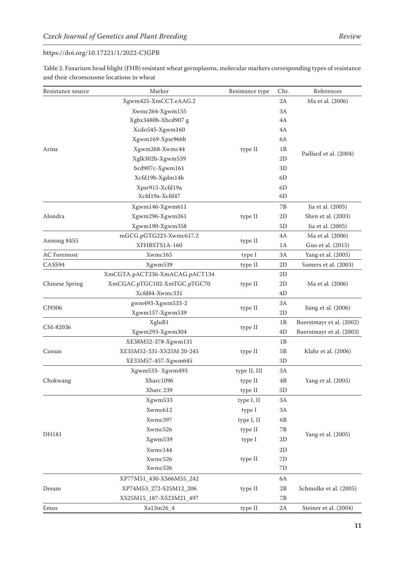Table 2. Fusarium head blight (FHB) resistant wheat germplasms, molecular markers corresponding types of resistance and their chromosome locations in wheat

| Xgwm425-XmCCT.eAAG.2<br>Ma et al. (2006)<br>2A<br>Xwmc264-Xgwm155<br>3A<br>Xgbx3480b-Xbcd907 g<br>4A<br>Xcdo545-Xgwm160<br>4A<br>6A<br>Xgwm169-Xpsr966b<br>Xgwm268-Xwmc44<br>1B<br>Arina<br>type II<br>Paillard et al. (2004)<br>Xglk302b-Xgwm539<br>2D<br>bcd907c-Xgwm161<br>3D<br>Xcfd19b-Xgdm14b<br>6D<br>Xpsr915-Xcfd19a<br>6 <sub>D</sub><br>Xcfd19a-Xcfd47<br>6D<br>Jia et al. (2005)<br>Xgwm146-Xgwm611<br>7Β<br>Alondra<br>Shen et al. (2003)<br>Xgwm296-Xgwm261<br>type II<br>2D<br>Xgwm190-Xgwm358<br>5D<br>Jia et al. (2005)<br>mGCG.pGTG223-Xwmc617.2<br>Ma et al. (2006)<br>4A<br>Annong 8455<br>type II<br>XFHBSTS1A-160<br>Guo et al. (2015)<br>1A | Resistance source     | Marker  | Resistance type | Chr. | References         |
|-------------------------------------------------------------------------------------------------------------------------------------------------------------------------------------------------------------------------------------------------------------------------------------------------------------------------------------------------------------------------------------------------------------------------------------------------------------------------------------------------------------------------------------------------------------------------------------------------------------------------------------------------------------------|-----------------------|---------|-----------------|------|--------------------|
|                                                                                                                                                                                                                                                                                                                                                                                                                                                                                                                                                                                                                                                                   |                       |         |                 |      |                    |
|                                                                                                                                                                                                                                                                                                                                                                                                                                                                                                                                                                                                                                                                   |                       |         |                 |      |                    |
|                                                                                                                                                                                                                                                                                                                                                                                                                                                                                                                                                                                                                                                                   |                       |         |                 |      |                    |
|                                                                                                                                                                                                                                                                                                                                                                                                                                                                                                                                                                                                                                                                   |                       |         |                 |      |                    |
|                                                                                                                                                                                                                                                                                                                                                                                                                                                                                                                                                                                                                                                                   |                       |         |                 |      |                    |
|                                                                                                                                                                                                                                                                                                                                                                                                                                                                                                                                                                                                                                                                   |                       |         |                 |      |                    |
|                                                                                                                                                                                                                                                                                                                                                                                                                                                                                                                                                                                                                                                                   |                       |         |                 |      |                    |
|                                                                                                                                                                                                                                                                                                                                                                                                                                                                                                                                                                                                                                                                   |                       |         |                 |      |                    |
|                                                                                                                                                                                                                                                                                                                                                                                                                                                                                                                                                                                                                                                                   |                       |         |                 |      |                    |
|                                                                                                                                                                                                                                                                                                                                                                                                                                                                                                                                                                                                                                                                   |                       |         |                 |      |                    |
|                                                                                                                                                                                                                                                                                                                                                                                                                                                                                                                                                                                                                                                                   |                       |         |                 |      |                    |
|                                                                                                                                                                                                                                                                                                                                                                                                                                                                                                                                                                                                                                                                   |                       |         |                 |      |                    |
|                                                                                                                                                                                                                                                                                                                                                                                                                                                                                                                                                                                                                                                                   |                       |         |                 |      |                    |
|                                                                                                                                                                                                                                                                                                                                                                                                                                                                                                                                                                                                                                                                   |                       |         |                 |      |                    |
|                                                                                                                                                                                                                                                                                                                                                                                                                                                                                                                                                                                                                                                                   |                       |         |                 |      |                    |
|                                                                                                                                                                                                                                                                                                                                                                                                                                                                                                                                                                                                                                                                   |                       |         |                 |      |                    |
|                                                                                                                                                                                                                                                                                                                                                                                                                                                                                                                                                                                                                                                                   | <b>AC</b> Foremost    | Xwmc165 | type I          | 3A   | Yang et al. (2005) |
| CASS94<br>Xgwm539<br>type II<br>2D<br>Somers et al. (2003)                                                                                                                                                                                                                                                                                                                                                                                                                                                                                                                                                                                                        |                       |         |                 |      |                    |
| XmCGTA.pACT236-XmACAG.pACT134<br>2D                                                                                                                                                                                                                                                                                                                                                                                                                                                                                                                                                                                                                               | <b>Chinese Spring</b> |         |                 |      |                    |
| 2D<br>XmCGAC.pTGC102-XmTGC.pTGC70<br>type II<br>Ma et al. (2006)                                                                                                                                                                                                                                                                                                                                                                                                                                                                                                                                                                                                  |                       |         |                 |      |                    |
| Xcfd84-Xwmc331<br>4D                                                                                                                                                                                                                                                                                                                                                                                                                                                                                                                                                                                                                                              |                       |         |                 |      |                    |
| gwm493-Xgwm533-2<br>3A                                                                                                                                                                                                                                                                                                                                                                                                                                                                                                                                                                                                                                            | CJ9306                |         |                 |      |                    |
| type II<br>Jiang et al. (2006)<br>Xgwm157-Xgwm539<br>2D                                                                                                                                                                                                                                                                                                                                                                                                                                                                                                                                                                                                           |                       |         |                 |      |                    |
| XgluB1<br>Buerstmayr et al. (2002)<br>1B                                                                                                                                                                                                                                                                                                                                                                                                                                                                                                                                                                                                                          | CM-82036              |         |                 |      |                    |
| type II<br>4D<br>Xgwm293-Xgwm304<br>Buerstmayr et al. (2003)                                                                                                                                                                                                                                                                                                                                                                                                                                                                                                                                                                                                      |                       |         |                 |      |                    |
| 1B<br>XE38M52-378-Xgwm131                                                                                                                                                                                                                                                                                                                                                                                                                                                                                                                                                                                                                                         |                       |         |                 |      |                    |
| XE35M52-331-XS25M 20-245<br>Cansas<br>type II<br>5B<br>Klahr et al. (2006)                                                                                                                                                                                                                                                                                                                                                                                                                                                                                                                                                                                        |                       |         |                 |      |                    |
| 3D<br>XE33M57-457-Xgwm645                                                                                                                                                                                                                                                                                                                                                                                                                                                                                                                                                                                                                                         |                       |         |                 |      |                    |
| Xgwm533-Xgwm493<br>type II, III<br>3A                                                                                                                                                                                                                                                                                                                                                                                                                                                                                                                                                                                                                             |                       |         |                 |      |                    |
| Xbarc1096<br>Chokwang<br>type II<br>4B<br>Yang et al. (2005)                                                                                                                                                                                                                                                                                                                                                                                                                                                                                                                                                                                                      |                       |         |                 |      |                    |
| Xbarc 239<br>5D<br>type II                                                                                                                                                                                                                                                                                                                                                                                                                                                                                                                                                                                                                                        |                       |         |                 |      |                    |
| Xgwm533<br>type I, II<br>3A                                                                                                                                                                                                                                                                                                                                                                                                                                                                                                                                                                                                                                       |                       |         |                 |      |                    |
| Xwmc612<br>type I<br>3A                                                                                                                                                                                                                                                                                                                                                                                                                                                                                                                                                                                                                                           | DH181                 |         |                 |      | Yang et al. (2005) |
| Xwmc397<br>type I, II<br>6B                                                                                                                                                                                                                                                                                                                                                                                                                                                                                                                                                                                                                                       |                       |         |                 |      |                    |
| Xwmc526<br>type II<br>7B                                                                                                                                                                                                                                                                                                                                                                                                                                                                                                                                                                                                                                          |                       |         |                 |      |                    |
| Xgwm539<br>type I<br>2D                                                                                                                                                                                                                                                                                                                                                                                                                                                                                                                                                                                                                                           |                       |         |                 |      |                    |
| Xwmc144<br>2D                                                                                                                                                                                                                                                                                                                                                                                                                                                                                                                                                                                                                                                     |                       |         |                 |      |                    |
| Xwmc526<br>$7\mathrm{D}$<br>type II                                                                                                                                                                                                                                                                                                                                                                                                                                                                                                                                                                                                                               |                       |         |                 |      |                    |
| Xwmc526<br>7D                                                                                                                                                                                                                                                                                                                                                                                                                                                                                                                                                                                                                                                     |                       |         |                 |      |                    |
| XP77M51_430-XS66M55_242<br>6A                                                                                                                                                                                                                                                                                                                                                                                                                                                                                                                                                                                                                                     |                       |         |                 |      |                    |
| Dream<br>type II<br>2B<br>Schmolke et al. (2005)<br>XP74M53_272-S25M12_206                                                                                                                                                                                                                                                                                                                                                                                                                                                                                                                                                                                        |                       |         |                 |      |                    |
| XS25M15_187-XS23M21_497<br>7B                                                                                                                                                                                                                                                                                                                                                                                                                                                                                                                                                                                                                                     |                       |         |                 |      |                    |
| Emus<br>type II<br>Steiner et al. (2004)<br>Xs13m26_4<br>2A                                                                                                                                                                                                                                                                                                                                                                                                                                                                                                                                                                                                       |                       |         |                 |      |                    |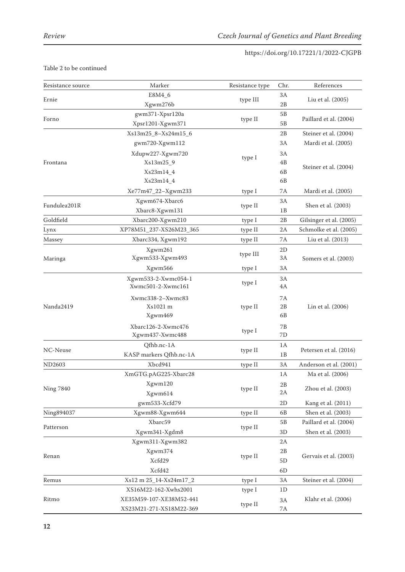| Resistance source | Marker                  | Resistance type   | Chr.           | References              |
|-------------------|-------------------------|-------------------|----------------|-------------------------|
| Ernie             | E8M4_6                  |                   | 3A             |                         |
|                   | Xgwm276b                | type III          | 2Β             | Liu et al. (2005)       |
| Forno             | gwm371-Xpsr120a         | type II           | 5B             | Paillard et al. (2004)  |
|                   | Xpsr1201-Xgwm371        |                   | 5B             |                         |
|                   | Xs13m25_8-Xs24m15_6     |                   | 2Β             | Steiner et al. (2004)   |
|                   | gwm720-Xgwm112          |                   | 3A             | Mardi et al. (2005)     |
|                   | Xdupw227-Xgwm720        | type I            | 3A             |                         |
| Frontana          | Xs13m25_9               |                   | 4 <sub>B</sub> | Steiner et al. (2004)   |
|                   | Xs23m14_4               |                   | 6 <sub>B</sub> |                         |
|                   | Xs23m14_4               |                   | 6 <sub>B</sub> |                         |
|                   | Xe77m47_22-Xgwm233      | type I            | 7A             | Mardi et al. (2005)     |
| Fundulea201R      | Xgwm674-Xbarc6          | type II           | ЗA             | Shen et al. (2003)      |
|                   | Xbarc8-Xgwm131          |                   | 1B             |                         |
| Goldfield         | Xbarc200-Xgwm210        | type I            | 2B             | Gilsinger et al. (2005) |
| Lynx              | XP78M51_237-XS26M23_365 | type II           | 2A             | Schmolke et al. (2005)  |
| Massey            | Xbarc334, Xgwm192       | type II           | 7A             | Liu et al. (2013)       |
| Maringa           | Xgwm261                 | type III          | 2D             | Somers et al. (2003)    |
|                   | Xgwm533-Xgwm493         |                   | 3A             |                         |
|                   | Xgwm566                 | type I            | ЗA             |                         |
| Nanda2419         | Xgwm533-2-Xwmc054-1     | type I            | 3A             |                         |
|                   | Xwmc501-2-Xwmc161       |                   | 4A             | Lin et al. (2006)       |
|                   | Xwmc338-2-Xwmc83        | type II<br>type I | 7A             |                         |
|                   | Xs1021 m                |                   | 2B             |                         |
|                   | Xgwm469                 |                   | 6 <sub>B</sub> |                         |
|                   | Xbarc126-2-Xwmc476      |                   | 7B             |                         |
|                   | Xgwm437-Xwmc488         |                   | 7D             |                         |
| NC-Neuse          | Qfhb.nc-1A              | type II           | 1A             | Petersen et al. (2016)  |
|                   | KASP markers Qfhb.nc-1A |                   | 1B             |                         |
| <b>ND2603</b>     | Xbcd941                 | type II           | 3A             | Anderson et al. (2001)  |
|                   | XmGTG.pAG225-Xbarc28    |                   | 1A             | Ma et al. (2006)        |
| <b>Ning 7840</b>  | Xgwm120                 | type II           | 2B             | Zhou et al. (2003)      |
|                   | Xgwm614                 |                   | 2A             |                         |
|                   | gwm533-Xcfd79           |                   | 2D             | Kang et al. (2011)      |
| Ning894037        | Xgwm88-Xgwm644          | type II           | 6B             | Shen et al. (2003)      |
| Patterson         | Xbarc59                 | type II           | 5B             | Paillard et al. (2004)  |
|                   | Xgwm341-Xgdm8           |                   | 3D             | Shen et al. (2003)      |
|                   | Xgwm311-Xgwm382         |                   | 2A             |                         |
| Renan             | Xgwm374                 | type II           | 2B             | Gervais et al. (2003)   |
|                   | Xcfd29                  |                   | 5D             |                         |
|                   | Xcfd42                  |                   | 6D             |                         |
| Remus             | Xs12 m 25_14-Xs24m17_2  | type I            | 3A             | Steiner et al. (2004)   |
|                   | XS16M22-162-Xwhs2001    | type I            | 1D             |                         |
| Ritmo             | XE35M59-107-XE38M52-441 | type II           | 3A             | Klahr et al. (2006)     |
|                   | XS23M21-271-XS18M22-369 |                   | $7\mathrm{A}$  |                         |

# Table 2 to be continued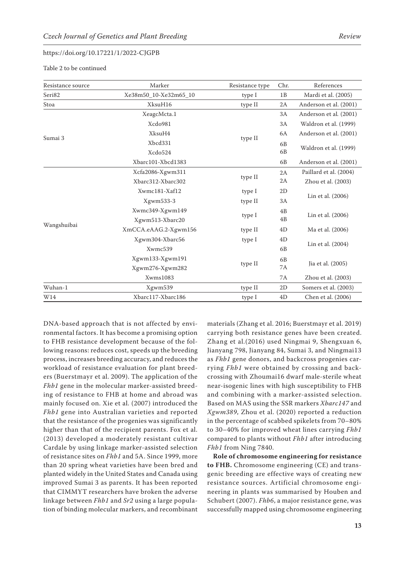Table 2 to be continued

| Resistance source | Marker                | Resistance type | Chr.           | References             |
|-------------------|-----------------------|-----------------|----------------|------------------------|
| Seri82            | Xe38m50_10-Xe32m65_10 | type I          | 1B             | Mardi et al. (2005)    |
| Stoa              | XksuH16               | type II         | 2A             | Anderson et al. (2001) |
|                   | XeagcMcta.1           |                 | 3A             | Anderson et al. (2001) |
|                   | Xcdo981               |                 | 3A             | Waldron et al. (1999)  |
| Sumai 3           | XksuH4                |                 | 6A             | Anderson et al. (2001) |
|                   | Xbcd331               | type II         | 6B             | Waldron et al. (1999)  |
|                   | Xcdo524               |                 | 6 <sub>B</sub> |                        |
|                   | Xbarc101-Xbcd1383     |                 | 6 <sub>B</sub> | Anderson et al. (2001) |
| Wangshuibai       | Xcfa2086-Xgwm311      | type II         | 2A             | Paillard et al. (2004) |
|                   | Xbarc312-Xbarc302     |                 | 2A             | Zhou et al. (2003)     |
|                   | Xwmc181-Xaf12         | type I          | 2D             |                        |
|                   | Xgwm533-3             | type II         | 3A             | Lin et al. (2006)      |
|                   | Xwmc349-Xgwm149       | type I          | 4B             | Lin et al. (2006)      |
|                   | Xgwm513-Xbarc20       |                 | 4B             |                        |
|                   | XmCCA.eAAG.2-Xgwm156  | type II         | 4D             | Ma et al. (2006)       |
|                   | Xgwm304-Xbarc56       | type I          | 4D             |                        |
|                   | Xwmc539               |                 | 6 <sub>B</sub> | Lin et al. (2004)      |
|                   | Xgwm133-Xgwm191       | type II         | 6B             | Jia et al. (2005)      |
|                   | Xgwm276-Xgwm282       |                 | 7A             |                        |
|                   | Xwms1083              |                 | 7A             | Zhou et al. (2003)     |
| Wuhan-1           | Xgwm539               | type II         | 2D             | Somers et al. (2003)   |
| W14               | Xbarc117-Xbarc186     | type I          | 4D             | Chen et al. (2006)     |

DNA-based approach that is not affected by environmental factors. It has become a promising option to FHB resistance development because of the following reasons: reduces cost, speeds up the breeding process, increases breeding accuracy, and reduces the workload of resistance evaluation for plant breeders (Buerstmayr et al. 2009). The application of the *Fhb1* gene in the molecular marker-assisted breeding of resistance to FHB at home and abroad was mainly focused on. Xie et al. (2007) introduced the *Fhb1* gene into Australian varieties and reported that the resistance of the progenies was significantly higher than that of the recipient parents. Fox et al. (2013) developed a moderately resistant cultivar Cardale by using linkage marker-assisted selection of resistance sites on *Fhb1* and 5A. Since 1999, more than 20 spring wheat varieties have been bred and planted widely in the United States and Canada using improved Sumai 3 as parents. It has been reported that CIMMYT researchers have broken the adverse linkage between *Fhb1* and *Sr2* using a large population of binding molecular markers, and recombinant

materials (Zhang et al. 2016; Buerstmayr et al. 2019) carrying both resistance genes have been created. Zhang et al.(2016) used Ningmai 9, Shengxuan 6, Jianyang 798, Jianyang 84, Sumai 3, and Ningmai13 as *Fhb1* gene donors, and backcross progenies carrying *Fhb1* were obtained by crossing and backcrossing with Zhoumai16 dwarf male-sterile wheat near-isogenic lines with high susceptibility to FHB and combining with a marker-assisted selection. Based on MAS using the SSR markers *Xbarc147* and *Xgwm389*, Zhou et al. (2020) reported a reduction in the percentage of scabbed spikelets from 70–80% to 30–40% for improved wheat lines carrying *Fhb1* compared to plants without *Fhb1* after introducing *Fhb1* from Ning 7840.

**Role of chromosome engineering for resistance to FHB.** Chromosome engineering (CE) and transgenic breeding are effective ways of creating new resistance sources. Artificial chromosome engineering in plants was summarised by Houben and Schubert (2007). *Fhb6*, a major resistance gene, was successfully mapped using chromosome engineering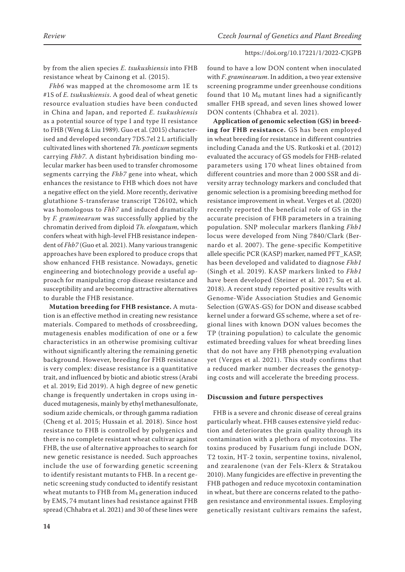by from the alien species *E. tsukushiensis* into FHB resistance wheat by Cainong et al. (2015).

*Fhb6* was mapped at the chromosome arm 1E ts #1S of *E. tsukushiensis*. A good deal of wheat genetic resource evaluation studies have been conducted in China and Japan, and reported *E. tsukushiensis* as a potential source of type I and type II resistance to FHB (Weng & Liu 1989). Guo et al. (2015) characterised and developed secondary 7DS.7el 2 L artificially cultivated lines with shortened *Th. ponticum* segments carrying *Fhb7*. A distant hybridisation binding molecular marker has been used to transfer chromosome segments carrying the *Fhb7* gene into wheat, which enhances the resistance to FHB which does not have a negative effect on the yield. More recently, derivative glutathione S-transferase transcript T26102, which was homologous to *Fhb7* and induced dramatically by *F. graminearum* was successfully applied by the chromatin derived from diploid *Th. elongatum*, which confers wheat with high-level FHB resistance independent of *Fhb7* (Guo et al. 2021). Many various transgenic approaches have been explored to produce crops that show enhanced FHB resistance. Nowadays, genetic engineering and biotechnology provide a useful approach for manipulating crop disease resistance and susceptibility and are becoming attractive alternatives to durable the FHB resistance.

**Mutation breeding for FHB resistance.** A mutation is an effective method in creating new resistance materials. Compared to methods of crossbreeding, mutagenesis enables modification of one or a few characteristics in an otherwise promising cultivar without significantly altering the remaining genetic background. However, breeding for FHB resistance is very complex: disease resistance is a quantitative trait, and influenced by biotic and abiotic stress (Arabi et al. 2019; Eid 2019). A high degree of new genetic change is frequently undertaken in crops using induced mutagenesis, mainly by ethyl methanesulfonate, sodium azide chemicals, or through gamma radiation (Cheng et al. 2015; Hussain et al. 2018). Since host resistance to FHB is controlled by polygenics and there is no complete resistant wheat cultivar against FHB, the use of alternative approaches to search for new genetic resistance is needed. Such approaches include the use of forwarding genetic screening to identify resistant mutants to FHB. In a recent genetic screening study conducted to identify resistant wheat mutants to FHB from M<sub>4</sub> generation induced by EMS, 74 mutant lines had resistance against FHB spread (Chhabra et al. 2021) and 30 of these lines were

found to have a low DON content when inoculated with *F*. *graminearum*. In addition, a two year extensive screening programme under greenhouse conditions found that 10  $M_6$  mutant lines had a significantly smaller FHB spread, and seven lines showed lower DON contents (Chhabra et al. 2021).

**Application of genomic selection (GS) in breeding for FHB resistance.** GS has been employed in wheat breeding for resistance in different countries including Canada and the US. Rutkoski et al. (2012) evaluated the accuracy of GS models for FHB-related parameters using 170 wheat lines obtained from different countries and more than 2 000 SSR and diversity array technology markers and concluded that genomic selection is a promising breeding method for resistance improvement in wheat. Verges et al. (2020) recently reported the beneficial role of GS in the accurate precision of FHB parameters in a training population. SNP molecular markers flanking *Fhb1* locus were developed from Ning 7840/Clark (Bernardo et al. 2007). The gene-specific Kompetitive allele specific PCR (KASP) marker, named PFT\_KASP, has been developed and validated to diagnose *Fhb1* (Singh et al. 2019). KASP markers linked to *Fhb1* have been developed (Steiner et al. 2017; Su et al. 2018). A recent study reported positive results with Genome-Wide Association Studies and Genomic Selection (GWAS-GS) for DON and disease scabbed kernel under a forward GS scheme, where a set of regional lines with known DON values becomes the TP (training population) to calculate the genomic estimated breeding values for wheat breeding lines that do not have any FHB phenotyping evaluation yet (Verges et al. 2021). This study confirms that a reduced marker number decreases the genotyping costs and will accelerate the breeding process.

# **Discussion and future perspectives**

FHB is a severe and chronic disease of cereal grains particularly wheat. FHB causes extensive yield reduction and deteriorates the grain quality through its contamination with a plethora of mycotoxins. The toxins produced by Fusarium fungi include DON, T2 toxin, HT-2 toxin, serpentine toxins, nivalenol, and zearalenone (van der Fels-Klerx & Stratakou 2010). Many fungicides are effective in preventing the FHB pathogen and reduce mycotoxin contamination in wheat, but there are concerns related to the pathogen resistance and environmental issues. Employing genetically resistant cultivars remains the safest,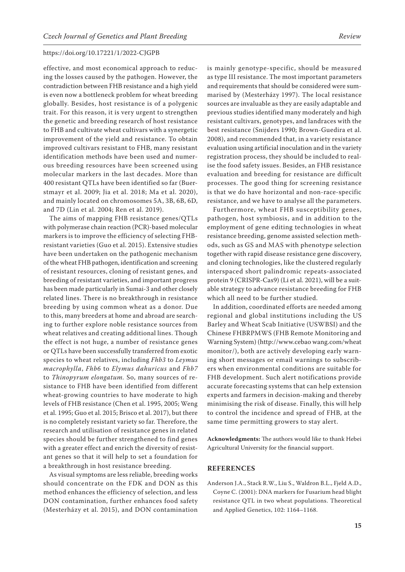effective, and most economical approach to reducing the losses caused by the pathogen. However, the contradiction between FHB resistance and a high yield is even now a bottleneck problem for wheat breeding globally. Besides, host resistance is of a polygenic trait. For this reason, it is very urgent to strengthen the genetic and breeding research of host resistance to FHB and cultivate wheat cultivars with a synergetic improvement of the yield and resistance. To obtain improved cultivars resistant to FHB, many resistant identification methods have been used and numerous breeding resources have been screened using molecular markers in the last decades. More than 400 resistant QTLs have been identified so far (Buerstmayr et al. 2009; Jia et al. 2018; Ma et al. 2020), and mainly located on chromosomes 5A, 3B, 6B, 6D, and 7D (Lin et al. 2004; Ren et al. 2019).

The aims of mapping FHB resistance genes/QTLs with polymerase chain reaction (PCR)-based molecular markers is to improve the efficiency of selecting FHBresistant varieties (Guo et al. 2015). Extensive studies have been undertaken on the pathogenic mechanism of the wheat FHB pathogen, identification and screening of resistant resources, cloning of resistant genes, and breeding of resistant varieties, and important progress has been made particularly in Sumai-3 and other closely related lines. There is no breakthrough in resistance breeding by using common wheat as a donor. Due to this, many breeders at home and abroad are searching to further explore noble resistance sources from wheat relatives and creating additional lines. Though the effect is not huge, a number of resistance genes or QTLs have been successfully transferred from exotic species to wheat relatives, including *Fhb3* to *Leymus macrophylla*, *Fhb6* to *Elymus dahuricus* and *Fhb7*  to *Thinopyrum elongatum.* So, many sources of resistance to FHB have been identified from different wheat-growing countries to have moderate to high levels of FHB resistance (Chen et al. 1995, 2005; Weng et al. 1995; Guo et al. 2015; Brisco et al. 2017), but there is no completely resistant variety so far. Therefore, the research and utilisation of resistance genes in related species should be further strengthened to find genes with a greater effect and enrich the diversity of resistant genes so that it will help to set a foundation for a breakthrough in host resistance breeding.

As visual symptoms are less reliable, breeding works should concentrate on the FDK and DON as this method enhances the efficiency of selection, and less DON contamination, further enhances food safety (Mesterházy et al. 2015), and DON contamination is mainly genotype-specific, should be measured as type III resistance. The most important parameters and requirements that should be considered were summarised by (Mesterházy 1997). The local resistance sources are invaluable as they are easily adaptable and previous studies identified many moderately and high resistant cultivars, genotypes, and landraces with the best resistance (Snijders 1990; Brown-Guedira et al. 2008), and recommended that, in a variety resistance evaluation using artificial inoculation and in the variety registration process, they should be included to realise the food safety issues. Besides, an FHB resistance evaluation and breeding for resistance are difficult processes. The good thing for screening resistance is that we do have horizontal and non-race-specific resistance, and we have to analyse all the parameters.

Furthermore, wheat FHB susceptibility genes, pathogen, host symbiosis, and in addition to the employment of gene editing technologies in wheat resistance breeding, genome assisted selection methods, such as GS and MAS with phenotype selection together with rapid disease resistance gene discovery, and cloning technologies, like the clustered regularly interspaced short palindromic repeats-associated protein 9 (CRISPR-Cas9) (Li et al. 2021), will be a suitable strategy to advance resistance breeding for FHB which all need to be further studied.

In addition, coordinated efforts are needed among regional and global institutions including the US Barley and Wheat Scab Initiative (USWBSI) and the Chinese FHBRPMWS (FHB Remote Monitoring and Warning System) (http://www.cebao wang.com/wheat monitor/), both are actively developing early warning short messages or email warnings to subscribers when environmental conditions are suitable for FHB development. Such alert notifications provide accurate forecasting systems that can help extension experts and farmers in decision-making and thereby minimising the risk of disease. Finally, this will help to control the incidence and spread of FHB, at the same time permitting growers to stay alert.

**Acknowledgments:** The authors would like to thank Hebei Agricultural University for the financial support.

### **REFERENCES**

Anderson J.A., Stack R.W., Liu S., Waldron B.L., Fjeld A.D., Coyne C. (2001): DNA markers for Fusarium head blight resistance QTL in two wheat populations. Theoretical and Applied Genetics, 102: 1164–1168.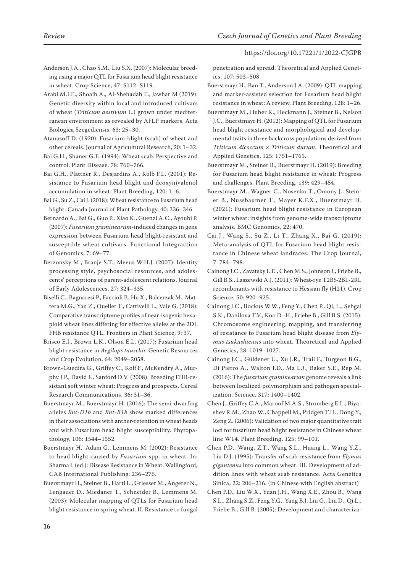Anderson J.A., Chao S.M., Liu S.X. (2007): Molecular breeding using a major QTL for Fusarium head blight resistance in wheat. Crop Science, 47: S112–S119.

Arabi M.I.E., Shoaib A., Al-Shehadah E., Jawhar M (2019): Genetic diversity within local and introduced cultivars of wheat (*Triticum aestivum* L.) grown under mediterranean environment as revealed by AFLP markers. Acta Biologica Szegediensis, 63: 25–30.

- Atanasoff D. (1920): Fusarium-blight (scab) of wheat and other cereals. Journal of Agricultural Research, 20: 1–32.
- Bai G.H., Shaner G.E. (1994): Wheat scab: Perspective and control. Plant Disease, 78: 760–766.
- Bai G.H., Plattner R., Desjardins A., Kolb F.L. (2001): Resistance to Fusarium head blight and deoxynivalenol accumulation in wheat. Plant Breeding, 120: 1–6.
- Bai G., Su Z., Cai J. (2018): Wheat resistance to Fusarium head blight. Canada Journal of Plant Pathology, 40: 336–346.

Bernardo A., Bai G., Guo P., Xiao K., Guenzi A.C., Ayoubi P. (2007): *Fusarium graminearum*-induced changes in gene expression between Fusarium head blight-resistant and susceptible wheat cultivars. Functional Integraction of Genomics, 7: 69–77.

Berzonsky M., Branje S.T., Meeus W.H.J. (2007): Identity processing style, psychosocial resources, and adolescents' perceptions of parent-adolescent relations. Journal of Early Adolescences, 27: 324–335.

- Biselli C., Bagnaresi P., Faccioli P., Hu X., Balcerzak M., Mattera M.G., Yan Z., Ouellet T., Cattivelli L., Vale G. (2018): Comparative transcriptome profiles of near-isogenic hexaploid wheat lines differing for effective alleles at the 2DL FHB resistance QTL. Frontiers in Plant Science, 9: 37.
- Brisco E.I., Brown L.K., Olson E.L. (2017): Fusarium head blight resistance in *Aegilops tauschii*. Genetic Resources and Crop Evolution, 64: 2049–2058.
- Brown-Guedira G., Griffey C., Kolf F., McKendry A., Murphy J.P., David F., Sanford D.V. (2008): Breeding FHB-resistant soft winter wheat: Progress and prospects. Cereal Research Communications, 36: 31–36.
- Buerstmayr M., Buerstmayr H. (2016): The semi-dwarfing alleles *Rht-D1b* and *Rht-B1b* show marked differences in their associations with anther-retention in wheat heads and with Fusarium head blight susceptibility. Phytopathology, 106: 1544–1552.
- Buerstmayr H., Adam G., Lemmens M. (2002): Resistance to head blight caused by *Fusarium* spp. in wheat. In: Sharma I. (ed.): Disease Resistance in Wheat. Wallingford, CAB International Publishing: 236–276.
- Buerstmayr H., Steiner B., Hartl L., Griesser M., Angerer N., Lengauer D., Miedaner T., Schneider B., Lemmens M. (2003): Molecular mapping of QTLs for Fusarium head blight resistance in spring wheat. II. Resistance to fungal

penetration and spread. Theoretical and Applied Genetics, 107: 503–508.

- Buerstmayr H., Ban T., Anderson J.A. (2009): QTL mapping and marker-assisted selection for Fusarium head blight resistance in wheat: A review. Plant Breeding, 128: 1–26.
- Buerstmayr M., Huber K., Heckmann J., Steiner B., Nelson J.C., Buerstmayr H. (2012): Mapping of QTL for Fusarium head blight resistance and morphological and developmental traits in three backcross populations derived from *Triticum dicoccum* × *Triticum durum*. Theoretical and Applied Genetics, 125: 1751–1765.

Buerstmayr M., Steiner B., Buerstmayr H. (2019): Breeding for Fusarium head blight resistance in wheat: Progress and challenges. Plant Breeding, 139: 429–454.

- Buerstmayr M., Wagner C., Nosenko T., Omony J., Steiner B., Nussbaumer T., Mayer K.F.X., Buerstmayr H. (2021): Fusarium head blight resistance in European winter wheat: insights from genome-wide transcriptome analysis. BMC Genomics, 22: 470.
- Cai J., Wang S., Su Z., Li T., Zhang X., Bai G. (2019): Meta-analysis of QTL for Fusarium head blight resistance in Chinese wheat landraces. The Crop Journal, 7: 784–798.
- Cainong J.C., Zavatsky L.E., Chen M.S., Johnson J., Friebe B., Gill B.S., Laszewski A.J. (2011): Wheat-rye T2BS·2BL-2RL recombinants with resistance to Hessian fly (H21). Crop Science, 50: 920–925.
- Cainong J.C., Bockus W.W., Feng Y., Chen P., Qi, L., Sehgal S.K., Danilova T.V., Koo D.-H., Friebe B., Gill B.S. (2015): Chromosome engineering, mapping, and transferring of resistance to Fusarium head blight disease from *Elymus tsukushiensis* into wheat. Theoretical and Applied Genetics, 28: 1019–1027.
- Cainong J.C., Güldener U., Xu J.R., Trail F., Turgeon B.G., Di Pietro A., Walton J.D., Ma L.J., Baker S.E., Rep M. (2016): The *fusarium graminearum* genome reveals a link between localized polymorphism and pathogen specialization. Science, 317: 1400–1402.
- Chen J., Griffey C.A., Maroof M.A.S., Stromberg E.L., Biyashev R.M., Zhao W., Chappell M., Pridgen T.H., Dong Y., Zeng Z. (2006): Validation of two major quantitative trait loci for fusarium head blight resistance in Chinese wheat line W14. Plant Breeding, 125: 99–101.
- Chen P.D., Wang, Z.T., Wang S.L., Huang L., Wang Y.Z., Liu D.J. (1995): Transfer of scab resistance from *Elymus gigantenus* into common wheat. III. Development of addition lines with wheat scab resistance. Acta Genetica Sinica, 22: 206–216. (in Chinese with English abstract)
- Chen P.D., Liu W.X., Yuan J.H., Wang X.E., Zhou B., Wang S.L., Zhang S.Z., Feng Y.G., Yang B.J. Liu G., Liu D., Qi L., Friebe B., Gill B. (2005): Development and characteriza-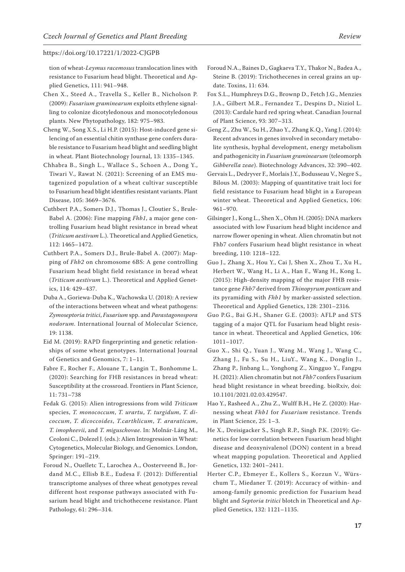tion of wheat-*Leymus racemosus* translocation lines with resistance to Fusarium head blight. Theoretical and Applied Genetics, 111: 941–948.

- Chen X., Steed A., Travella S., Keller B., Nicholson P. (2009): *Fusarium graminearum* exploits ethylene signalling to colonize dicotyledonous and monocotyledonous plants. New Phytopathology, 182: 975–983.
- Cheng W., Song X.S., Li H.P. (2015): Host-induced gene silencing of an essential chitin synthase gene confers durable resistance to Fusarium head blight and seedling blight in wheat. Plant Biotechnology Journal, 13: 1335–1345.
- Chhabra B., Singh L., Wallace S., Schoen A., Dong Y., Tiwari V., Rawat N. (2021): Screening of an EMS mutagenized population of a wheat cultivar susceptible to Fusarium head blight identifies resistant variants. Plant Disease, 105: 3669–3676.
- Cuthbert P.A., Somers D.J., Thomas J., Cloutier S., Brule-Babel A. (2006): Fine mapping *Fhb1*, a major gene controlling Fusarium head blight resistance in bread wheat (*Triticum aestivum* L.). Theoretical and Applied Genetics, 112: 1465–1472.
- Cuthbert P.A., Somers D.J., Brule-Babel A. (2007): Mapping of *Fhb2* on chromosome 6BS: A gene controlling Fusarium head blight field resistance in bread wheat (*Triticum aestivum* L.). Theoretical and Applied Genetics, 114: 429–437.
- Duba A., Goriewa-Duba K., Wachowska U. (2018): A review of the interactions between wheat and wheat pathogens: *Zymoseptoria tritici*, *Fusarium* spp. and *Parastagonospora nodorum*. International Journal of Molecular Science, 19: 1138.
- Eid M. (2019): RAPD fingerprinting and genetic relationships of some wheat genotypes. International Journal of Genetics and Genomics, 7: 1–11.
- Fabre F., Rocher F., Alouane T., Langin T., Bonhomme L. (2020): Searching for FHB resistances in bread wheat: Susceptibility at the crossroad. Frontiers in Plant Science, 11: 731–738
- Fedak G. (2015): Alien introgressions from wild *Triticum* species, *T. monococcum*, *T. urartu*, *T. turgidum*, *T. dicoccum*, *T. dicoccoides*, *T.carthlicum*, *T. araraticum*, *T. imopheevii*, and *T. miguschovae*. In: Molnár-Láng M., Ceoloni C., Dolezel J. (eds.): Alien Introgression in Wheat: Cytogenetics, Molecular Biology, and Genomics. London, Springer: 191–219.
- Foroud N., Ouelletc T., Larochea A., Oosterveend B., Jordand M.C., Ellisb B.E., Eudesa F. (2012): Differential transcriptome analyses of three wheat genotypes reveal different host response pathways associated with Fusarium head blight and trichothecene resistance. Plant Pathology, 61: 296–314.
- Foroud N.A., Baines D., Gagkaeva T.Y., Thakor N., Badea A., Steine B. (2019): Trichothecenes in cereal grains an update. Toxins, 11: 634.
- Fox S.L., Humphreys D.G., Brownp D., Fetch J.G., Menzies J.A., Gilbert M.R., Fernandez T., Despins D., Niziol L. (2013): Cardale hard red spring wheat. Canadian Journal of Plant Science, 93: 307–313.
- Geng Z., Zhu W., Su H., Zhao Y., Zhang K.Q., Yang J. (2014): Recent advances in genes involved in secondary metabolite synthesis, hyphal development, energy metabolism and pathogenicity in *Fusarium graminearum* (teleomorph *Gibberella zeae*). Biotechnology Advances, 32: 390–402.
- Gervais L., Dedryver F., Morlais J.Y., Bodusseau V., Negre S., Bilous M. (2003): Mapping of quantitative trait loci for field resistance to Fusarium head blight in a European winter wheat. Theoretical and Applied Genetics, 106: 961–970.
- Gilsinger J., Kong L., Shen X., Ohm H. (2005): DNA markers associated with low Fusarium head blight incidence and narrow flower opening in wheat. Alien chromatin but not Fhb7 confers Fusarium head blight resistance in wheat breeding, 110: 1218–122.
- Guo J., Zhang X., Hou Y., Cai J, Shen X., Zhou T., Xu H., Herbert W., Wang H., Li A., Han F., Wang H., Kong L. (2015): High-density mapping of the major FHB resistance gene *Fhb7* derived from *Thinopyrum ponticum* and its pyramiding with *Fhb1* by marker-assisted selection. Theoretical and Applied Genetics, 128: 2301–2316*.*
- Guo P.G., Bai G.H., Shaner G.E. (2003): AFLP and STS tagging of a major QTL for Fusarium head blight resistance in wheat. Theoretical and Applied Genetics, 106: 1011–1017.
- Guo X., Shi Q., Yuan J., Wang M., Wang J., Wang C., Zhang J., Fu S., Su H., LiuY., Wang K., Donglin J., Zhang P., Jinbang L., Yonghong Z., Xingguo Y., Fangpu H. (2021): Alien chromatin but not *Fhb7* confers Fusarium head blight resistance in wheat breeding. bioRxiv, doi: 10.1101/2021.02.03.429547.
- Hao Y., Rasheed A., Zhu Z., Wulff B.H., He Z. (2020): Harnessing wheat *Fhb1* for *Fusarium* resistance. Trends in Plant Science, 25: 1–3.
- He X., Dreisigacker S., Singh R.P., Singh P.K. (2019): Genetics for low correlation between Fusarium head blight disease and deoxynivalenol (DON) content in a bread wheat mapping population. Theoretical and Applied Genetics, 132: 2401–2411.
- Herter C.P., Ebmeyer E., Kollers S., Korzun V., Würschum T., Miedaner T. (2019): Accuracy of within- and among-family genomic prediction for Fusarium head blight and *Septoria tritici* blotch in Theoretical and Applied Genetics, 132: 1121–1135.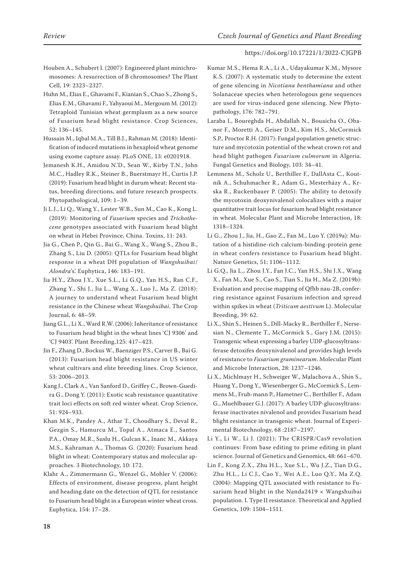- Houben A., Schubert I. (2007): Engineered plant minichromosomes: A resurrection of B chromosomes? The Plant Cell, 19: 2323–2327.
- Huhn M., Elias E., Ghavami F., Kianian S., Chao S., Zhong S., Elias E.M., Ghavami F., Yahyaoui M., Mergoum M. (2012): Tetraploid Tunisian wheat germplasm as a new source of Fusarium head blight resistance. Crop Sciences, 52: 136–145.
- Hussain M., Iqbal M.A., Till B.J., Rahman M. (2018): Identification of induced mutations in hexaploid wheat genome using exome capture assay. PLoS ONE, 13: e0201918.
- Jemanesh K.H., Amidou N.'D., Sean W., Kirby T.N., John M.C., Hadley R.K., Steiner B., Buerstmayr H., Curtis J.P. (2019): Fusarium head blight in durum wheat: Recent status, breeding directions, and future research prospects. Phytopathological, 109: 1–39.
- Ji L.J., Li Q., Wang Y., Lester W.B., Sun M., Cao K., Kong L. (2019): Monitoring of *Fusarium* species and *Trichothecene* genotypes associated with Fusarium head blight on wheat in Hebei Province, China. Toxins, 11: 243.
- Jia G., Chen P., Qin G., Bai G., Wang X., Wang S., Zhou B., Zhang S., Liu D. (2005): QTLs for Fusarium head blight response in a wheat DH population of *Wangshuibai*/ *Alondra*'s'. Euphytica, 146: 183–191.
- Jia H.Y., Zhou J.Y., Xue S.L., Li G.Q., Yan H.S., Ran C.F., Zhang Y., Shi J., Jia L., Wang X., Luo J., Ma Z. (2018): A journey to understand wheat Fusarium head blight resistance in the Chinese wheat *Wangshuibai*. The Crop Journal, 6: 48–59.
- Jiang G.L., Li X., Ward R.W. (2006): Inheritance of resistance to Fusarium head blight in the wheat lines 'CJ 9306' and 'CJ 9403'. Plant Breeding,125: 417–423.
- Jin F., Zhang D., Bockus W., Baenziger P.S., Carver B., Bai G. (2013): Fusarium head blight resistance in US winter wheat cultivars and elite breeding lines. Crop Science, 53: 2006–2013.
- Kang J., Clark A., Van Sanford D., Griffey C., Brown-Guedira G., Dong Y. (2011): Exotic scab resistance quantitative trait loci effects on soft red winter wheat. Crop Science, 51: 924–933.
- Khan M.K., Pandey A., Athar T., Choudhary S., Deval R., Gezgin S., Hamurcu M., Topal A., Atmaca E., Santos P.A., Omay M.R., Suslu H., Gulcan K., Inanc M., Akkaya M.S., Kahraman A., Thomas G. (2020): Fusarium head blight in wheat: Contemporary status and molecular approaches. 3 Biotechnology, 10: 172.
- Klahr A., Zimmermann G., Wenzel G., Mohler V. (2006): Effects of environment, disease progress, plant height and heading date on the detection of QTL for resistance to Fusarium head blight in a European winter wheat cross. Euphytica, 154: 17–28.
- Kumar M.S., Hema R.A., Li A., Udayakumar K.M., Mysore K.S. (2007): A systematic study to determine the extent of gene silencing in *Nicotiana benthamiana* and other Solanaceae species when heterologous gene sequences are used for virus-induced gene silencing. New Phytopathology, 176: 782–791.
- Laraba I., Boureghda H., Abdallah N., Bouaicha O., Obanor F., Moretti A., Geiser D.M., Kim H.S., McCormick S.P., Proctor R.H. (2017): Fungal population genetic structure and mycotoxin potential of the wheat crown rot and head blight pathogen *Fusarium culmorum* in Algeria. Fungal Genetics and Biology, 103: 34–41.
- Lemmens M., Scholz U., Berthiller F., DallAsta C., Koutnik A., Schuhmacher R., Adam G., Mesterházy A., Krska R., Ruckenbauer P. (2005): The ability to detoxify the mycotoxin deoxynivalenol colocalizes with a major quantitative trait locus for fusarium head blight resistance in wheat. Molecular Plant and Microbe Interaction, 18: 1318–1324.
- Li G., Zhou J., Jia, H., Gao Z., Fan M., Luo Y. (2019a): Mutation of a histidine-rich calcium-binding-protein gene in wheat confers resistance to Fusarium head blight. Nature Genetics, 51: 1106–1112.
- Li G.Q., Jia L., Zhou J.Y., Fan J.C., Yan H.S., Shi J.X., Wang X., Fan M., Xue S., Cao S., Tian S., Jia H., Ma Z. (2019b): Evaluation and precise mapping of Qfhb nau-2B, conferring resistance against Fusarium infection and spread within spikes in wheat (*Triticum aestivum* L). Molecular Breeding, 39: 62.
- Li X., Shin S., Heinen S., Dill-Macky R., Berthiller F., Nersesian N., Clemente T., McCormick S., Gary J.M. (2015): Transgenic wheat expressing a barley UDP-glucosyltransferase detoxifes deoxynivalenol and provides high levels of resistance to *Fusarium graminearum*. Molecular Plant and Microbe Interaction, 28: 1237–1246.
- Li X., Michlmayr H., Schweiger W., Malachova A., Shin S., Huang Y., Dong Y., Wiesenberger G., McCormick S., Lemmens M., Fruh-mann P., Hametner C., Berthiller F., Adam G., Muehlbauer G.J. (2017): A barley UDP-glucosyltransferase inactivates nivalenol and provides Fusarium head blight resistance in transgenic wheat. Journal of Experimental Biotechnology, 68 :2187–2197.
- Li Y., Li W., Li J. (2021): The CRISPR/Cas9 revolution continues: From base editing to prime editing in plant science. Journal of Genetics and Genomics, 48: 661–670.
- Lin F., Kong Z.X., Zhu H.L., Xue S.L., Wu J.Z., Tian D.G., Zhu H.L., Li C.J., Cao Y., Wei A.E., Luo Q.Y., Ma Z.Q. (2004): Mapping QTL associated with resistance to Fusarium head blight in the Nanda2419  $\times$  Wangshuibai population. I. Type II resistance. Theoretical and Applied Genetics, 109: 1504–1511.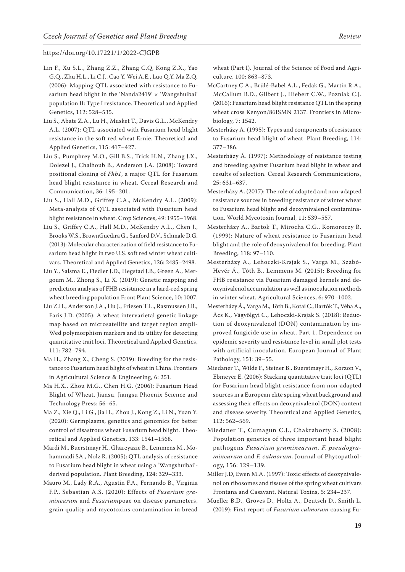- Lin F., Xu S.L., Zhang Z.Z., Zhang C.Q, Kong Z.X., Yao G.Q., Zhu H.L., Li C.J., Cao Y, Wei A.E., Luo Q.Y. Ma Z.Q. (2006): Mapping QTL associated with resistance to Fusarium head blight in the 'Nanda2419' × 'Wangshuibai' population II: Type I resistance. Theoretical and Applied Genetics, 112: 528–535.
- Liu S., Abate Z.A., Lu H., Musket T., Davis G.L., McKendry A.L. (2007): QTL associated with Fusarium head blight resistance in the soft red wheat Ernie. Theoretical and Applied Genetics, 115: 417–427.
- Liu S., Pumphrey M.O., Gill B.S., Trick H.N., Zhang J.X., Dolezel J., Chalhoub B., Anderson J.A. (2008): Toward positional cloning of *Fhb1*, a major QTL for Fusarium head blight resistance in wheat. Cereal Research and Communication, 36: 195–201.
- Liu S., Hall M.D., Griffey C.A., McKendry A.L. (2009): Meta-analysis of QTL associated with Fusarium head blight resistance in wheat. Crop Sciences, 49: 1955–1968.
- Liu S., Griffey C.A., Hall M.D., McKendry A.L., Chen J., Brooks W.S., BrownGuedira G., Sanford D.V., Schmale D.G. (2013): Molecular characterization of field resistance to Fusarium head blight in two U.S. soft red winter wheat cultivars. Theoretical and Applied Genetics, 126: 2485–2498.
- Liu Y., Salsma E., Fiedler J.D., Hegstad J.B., Green A., Mergoum M., Zhong S., Li X. (2019): Genetic mapping and prediction analysis of FHB resistance in a hard-red spring wheat breeding population Front Plant Science, 10: 1007.
- Liu Z.H., Anderson J.A., Hu J., Friesen T.L., Rasmussen J.B., Faris J.D. (2005): A wheat intervarietal genetic linkage map based on microsatellite and target region ampli-Wed polymorphism markers and its utility for detecting quantitative trait loci. Theoretical and Applied Genetics, 111: 782–794.
- Ma H., Zhang X., Cheng S. (2019): Breeding for the resistance to Fusarium head blight of wheat in China. Frontiers in Agricultural Science & Engineering, 6: 251.
- Ma H.X., Zhou M.G., Chen H.G. (2006): Fusarium Head Blight of Wheat. Jiansu, Jiangsu Phoenix Science and Technology Press: 56–65.
- Ma Z., Xie Q., Li G., Jia H., Zhou J., Kong Z., Li N., Yuan Y. (2020): Germplasms, genetics and genomics for better control of disastrous wheat Fusarium head blight. Theoretical and Applied Genetics, 133: 1541–1568.
- Mardi M., Buerstmayr H., Ghareyazie B., Lemmens M., Mohammadi SA., Nolz R. (2005): QTL analysis of resistance to Fusarium head blight in wheat using a 'Wangshuibai' derived population. Plant Breeding, 124: 329–333.
- Mauro M., Lady R.A., Agustin F.A., Fernando B., Virginia F.P., Sebastian A.S. (2020): Effects of *Fusarium graminearum* and *Fusarium*poae on disease parameters, grain quality and mycotoxins contamination in bread

wheat (Part I). Journal of the Science of Food and Agriculture, 100: 863–873.

- McCartney C.A., Brûlé-Babel A.L., Fedak G., Martin R.A., McCallum B.D., Gilbert J., Hiebert C.W., Pozniak C.J. (2016): Fusarium head blight resistance QTL in the spring wheat cross Kenyon/86ISMN 2137. Frontiers in Microbiology, 7: 1542.
- Mesterházy A. (1995): Types and components of resistance to Fusarium head blight of wheat. Plant Breeding, 114: 377–386.
- Mesterházy Á. (1997): Methodology of resistance testing and breeding against Fusarium head blight in wheat and results of selection. Cereal Research Communications, 25: 631–637.
- Mesterházy A. (2017): The role of adapted and non-adapted resistance sources in breeding resistance of winter wheat to Fusarium head blight and deoxynivalenol contamination. World Mycotoxin Journal, 11: 539–557.
- Mesterházy A., Bartok T., Mirocha C.G., Komoroczy R. (1999): Nature of wheat resistance to Fusarium head blight and the role of deoxynivalenol for breeding. Plant Breeding, 118: 97–110.
- Mesterházy A., Lehoczki-Krsjak S., Varga M., Szabó-Hevér Á., Tóth B., Lemmens M. (2015): Breeding for FHB resistance via Fusarium damaged kernels and deoxynivalenol accumulation as well as inoculation methods in winter wheat. Agricultural Sciences, 6: 970–1002.
- Mesterházy Á., Varga M., Tóth B., Kotai C., Bartók T., Véha A., Ács K., Vágvölgyi C., Lehoczki-Krsjak S. (2018): Reduction of deoxynivalenol (DON) contamination by improved fungicide use in wheat. Part 1. Dependence on epidemic severity and resistance level in small plot tests with artificial inoculation. European Journal of Plant Pathology, 151: 39–55.
- Miedaner T., Wilde F., Steiner B., Buerstmayr H., Korzon V., Ebmeyer E. (2006): Stacking quantitative trait loci (QTL) for Fusarium head blight resistance from non-adapted sources in a European elite spring wheat background and assessing their effects on deoxynivalenol (DON) content and disease severity. Theoretical and Applied Genetics, 112: 562–569.
- Miedaner T., Cumagun C.J., Chakraborty S. (2008): Population genetics of three important head blight pathogens *Fusarium graminearum*, *F. pseudograminearum* and *F. culmorum*. Journal of Phytopathology, 156: 129–139.
- Miller J.D, Ewen M.A. (1997): Toxic effects of deoxynivalenol on ribosomes and tissues of the spring wheat cultivars Frontana and Casavant. Natural Toxins, 5: 234–237.
- Mueller B.D., Groves D., Holtz A., Deutsch D., Smith L. (2019): First report of *Fusarium culmorum* causing Fu-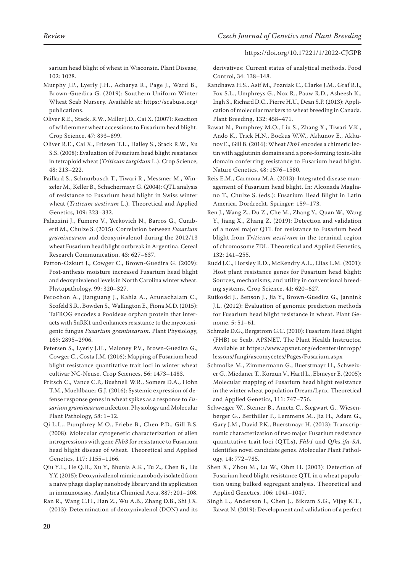sarium head blight of wheat in Wisconsin. Plant Disease, 102: 1028.

- Murphy J.P., Lyerly J.H., Acharya R., Page J., Ward B., Brown-Guedira G. (2019): Southern Uniform Winter Wheat Scab Nursery. Available at: https://scabusa.org/ publications.
- Oliver R.E., Stack, R.W., Miller J.D., Cai X. (2007): Reaction of wild emmer wheat accessions to Fusarium head blight. Crop Science, 47: 893–899.
- Oliver R.E., Cai X., Friesen T.L., Halley S., Stack R.W., Xu S.S. (2008): Evaluation of Fusarium head blight resistance in tetraploid wheat (*Triticum turgidum* L.). Crop Science, 48: 213–222.
- Paillard S., Schnurbusch T., Tiwari R., Messmer M., Winzeler M., Keller B., Schachermayr G. (2004): QTL analysis of resistance to Fusarium head blight in Swiss winter wheat (*Triticum aestivum* L.). Theoretical and Applied Genetics, 109: 323–332.
- Palazzini J., Fumero V., Yerkovich N., Barros G., Cuniberti M., Chulze S. (2015): Correlation between *Fusarium graminearum* and deoxynivalenol during the 2012/13 wheat Fusarium head blight outbreak in Argentina. Cereal Research Communication, 43: 627–637.
- Patton-Ozkurt J., Cowger C., Brown-Guedira G. (2009): Post-anthesis moisture increased Fusarium head blight and deoxynivalenol levels in North Carolina winter wheat. Phytopathology, 99: 320–327.
- Perochon A., Jianguang J., Kahla A., Arunachalam C., Scofeld S.R., Bowden S., Wallington E., Fiona M.D. (2015): TaFROG encodes a Pooideae orphan protein that interacts with SnRK1 and enhances resistance to the mycotoxigenic fungus *Fusarium graminearum*. Plant Physiology, 169: 2895–2906.
- Petersen S., Lyerly J.H., Maloney P.V., Brown-Guedira G., Cowger C., Costa J.M. (2016): Mapping of Fusarium head blight resistance quantitative trait loci in winter wheat cultivar NC-Neuse. Crop Sciences, 56: 1473–1483.
- Pritsch C., Vance C.P., Bushnell W.R., Somers D.A., Hohn T.M., Muehlbauer G.J. (2016): Systemic expression of defense response genes in wheat spikes as a response to *Fusarium graminearum* infection. Physiology and Molecular Plant Pathology, 58: 1–12.
- Qi L.L., Pumphrey M.O., Friebe B., Chen P.D., Gill B.S. (2008): Molecular cytogenetic characterization of alien introgressions with gene *Fhb3* for resistance to Fusarium head blight disease of wheat. Theoretical and Applied Genetics, 117: 1155–1166.
- Qiu Y.L., He Q.H., Xu Y., Bhunia A.K., Tu Z., Chen B., Liu Y.Y. (2015): Deoxynivalenol mimic nanobody isolated from a naive phage display nanobody library and its application in immunoassay. Analytica Chimical Acta, 887: 201–208.
- Ran R., Wang C.H., Han Z., Wu A.B., Zhang D.B., Shi J.X. (2013): Determination of deoxynivalenol (DON) and its

derivatives: Current status of analytical methods. Food Control, 34: 138–148.

- Randhawa H.S., Asif M., Pozniak C., Clarke J.M., Graf R.J., Fox S.L., Umphreys G., Nox R., Pauw R.D., Asheesh K., Ingh S., Richard D.C., Pierre H.U., Dean S.P. (2013): Application of molecular markers to wheat breeding in Canada. Plant Breeding, 132: 458–471.
- Rawat N., Pumphrey M.O., Liu S., Zhang X., Tiwari V.K., Ando K., Trick H.N., Bockus W.W., Akhunov E., Akhunov E., Gill B. (2016): Wheat *Fhb1* encodes a chimeric lectin with agglutinin domains and a pore-forming toxin-like domain conferring resistance to Fusarium head blight. Nature Genetics, 48: 1576–1580.
- Reis E.M., Carmona M.A. (2013): Integrated disease management of Fusarium head blight. In: Alconada Magliano T., Chulze S. (eds.): Fusarium Head Blight in Latin America. Dordrecht, Springer: 159–173.
- Ren J., Wang Z., Du Z., Che M., Zhang Y., Quan W., Wang Y., Jiang X., Zhang Z. (2019): Detection and validation of a novel major QTL for resistance to Fusarium head blight from *Triticum aestivum* in the terminal region of chromosome 7DL. Theoretical and Applied Genetics, 132: 241–255.
- Rudd J.C., Horsley R.D., McKendry A.L., Elias E.M. (2001): Host plant resistance genes for Fusarium head blight: Sources, mechanisms, and utility in conventional breeding systems. Crop Science, 41: 620–627.
- Rutkoski J., Benson J., Jia Y., Brown-Guedira G., Jannink J.L. (2012): Evaluation of genomic prediction methods for Fusarium head blight resistance in wheat. Plant Genome, 5: 51–61.
- Schmale D.G., Bergstrom G.C. (2010): Fusarium Head Blight (FHB) or Scab. APSNET. The Plant Health Instructor. Available at https://www.apsnet.org/edcenter/intropp/ lessons/fungi/ascomycetes/Pages/Fusarium.aspx
- Schmolke M., Zimmermann G., Buerstmayr H., Schweizer G., Miedaner T., Korzun V., Hartl L., Ebmeyer E. (2005): Molecular mapping of Fusarium head blight resistance in the winter wheat population Dream/Lynx. Theoretical and Applied Genetics, 111: 747–756.
- Schweiger W., Steiner B., Ametz C., Siegwart G., Wiesenberger G., Berthiller F., Lemmens M., Jia H., Adam G., Gary J.M., David P.K., Buerstmayr H. (2013): Transcriptomic characterization of two major Fusarium resistance quantitative trait loci (QTLs), *Fhb1* and *Qfhs.ifa-5A*, identifies novel candidate genes. Molecular Plant Pathology, 14: 772–785.
- Shen X., Zhou M., Lu W., Ohm H. (2003): Detection of Fusarium head blight resistance QTL in a wheat population using bulked segregant analysis. Theoretical and Applied Genetics, 106: 1041–1047.
- Singh L., Anderson J., Chen J., Bikram S.G., Vijay K.T., Rawat N. (2019): Development and validation of a perfect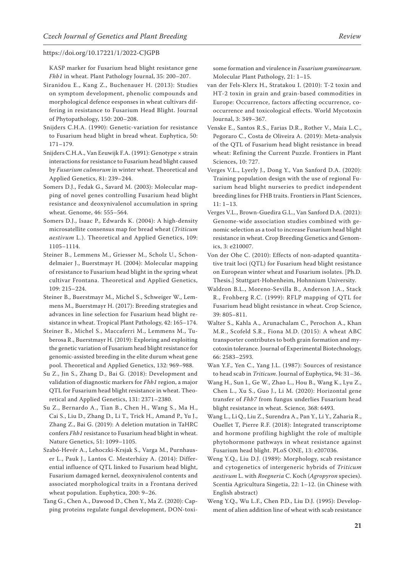KASP marker for Fusarium head blight resistance gene *Fhb1* in wheat. Plant Pathology Journal, 35: 200–207.

- Siranidou E., Kang Z., Buchenauer H. (2013): Studies on symptom development, phenolic compounds and morphological defence eesponses in wheat cultivars differing in resistance to Fusarium Head Blight. Journal of Phytopathology, 150: 200–208.
- Snijders C.H.A. (1990): Genetic-variation for resistance to Fusarium head blight in bread wheat. Euphytica, 50: 171–179.
- Snijders C.H.A., Van Eeuwijk F.A. (1991): Genotype × strain interactions for resistance to Fusarium head blight caused by *Fusarium culmorum* in winter wheat. Theoretical and Applied Genetics, 81: 239–244.
- Somers D.J., Fedak G., Savard M. (2003): Molecular mapping of novel genes controlling Fusarium head blight resistance and deoxynivalenol accumulation in spring wheat. Genome, 46: 555–564.
- Somers D.J., Isaac P., Edwards K. (2004): A high-density microsatellite consensus map for bread wheat (*Triticum aestivum* L.). Theoretical and Applied Genetics, 109: 1105–1114.
- Steiner B., Lemmens M., Griesser M., Scholz U., Schondelmaier J., Buerstmayr H. (2004): Molecular mapping of resistance to Fusarium head blight in the spring wheat cultivar Frontana. Theoretical and Applied Genetics, 109: 215–224.
- Steiner B., Buerstmayr M., Michel S., Schweiger W., Lemmens M., Buerstmayr H. (2017): Breeding strategies and advances in line selection for Fusarium head blight resistance in wheat. Tropical Plant Pathology, 42: 165–174.
- Steiner B., Michel S., Maccaferri M., Lemmens M., Tuberosa R., Buerstmayr H. (2019): Exploring and exploiting the genetic variation of Fusarium head blight resistance for genomic-assisted breeding in the elite durum wheat gene pool. Theoretical and Applied Genetics, 132: 969–988.
- Su Z., Jin S., Zhang D., Bai G. (2018): Development and validation of diagnostic markers for *Fhb1* region, a major QTL for Fusarium head blight resistance in wheat. Theoretical and Applied Genetics, 131: 2371–2380.
- Su Z., Bernardo A., Tian B., Chen H., Wang S., Ma H., Cai S., Liu D., Zhang D., Li T., Trick H., Amand P., Yu J., Zhang Z., Bai G. (2019): A deletion mutation in TaHRC confers *Fhb1* resistance to Fusarium head blight in wheat. Nature Genetics, 51: 1099–1105.
- Szabó-Hevér A., Lehoczki-Krsjak S., Varga M., Purnhauser L., Pauk J., Lantos C. Mesterházy A. (2014): Differential influence of QTL linked to Fusarium head blight, Fusarium damaged kernel, deoxynivalenol contents and associated morphological traits in a Frontana derived wheat population. Euphytica, 200: 9–26.
- Tang G., Chen A., Dawood D., Chen Y., Ma Z. (2020): Capping proteins regulate fungal development, DON-toxi-

some formation and virulence in *Fusarium graminearum*. Molecular Plant Pathology, 21: 1–15.

- van der Fels-Klerx H., Stratakou I. (2010): T-2 toxin and HT-2 toxin in grain and grain-based commodities in Europe: Occurrence, factors affecting occurrence, cooccurrence and toxicological effects. World Mycotoxin Journal, 3: 349–367.
- Venske E., Santos R.S., Farias D.R., Rother V., Maia L.C., Pegoraro C., Costa de Oliveira A. (2019): Meta-analysis of the QTL of Fusarium head blight resistance in bread wheat: Refining the Current Puzzle. Frontiers in Plant Sciences, 10: 727.
- Verges V.L., Lyerly J., Dong Y., Van Sanford D.A. (2020): Training population design with the use of regional Fusarium head blight nurseries to predict independent breeding lines for FHB traits. Frontiers in Plant Sciences, 11: 1–13.
- Verges V.L., Brown-Guedira G.L., Van Sanford D.A. (2021): Genome-wide association studies combined with genomic selection as a tool to increase Fusarium head blight resistance in wheat. Crop Breeding Genetics and Genomics, 3: e210007.
- Von der Ohe C. (2010): Effects of non-adapted quantitative trait loci (QTL) for Fusarium head blight resistance on European winter wheat and Fusarium isolates. [Ph.D. Thesis.] Stuttgart-Hohenheim, Hohnnium University.
- Waldron B.L., Moreno-Sevilla B., Anderson J.A., Stack R., Frohberg R.C. (1999): RFLP mapping of QTL for Fusarium head blight resistance in wheat. Crop Science, 39: 805–811.
- Walter S., Kahla A., Arunachalam C., Perochon A., Khan M.R., Scofeld S.R., Fiona M.D. (2015): A wheat ABC transporter contributes to both grain formation and mycotoxin tolerance. Journal of Experimental Biotechnology, 66: 2583–2593.
- Wan Y.F., Yen C., Yang J.L. (1987): Sources of resistance to head scab in *Triticum*. Journal of Euphytica, 94: 31–36.
- Wang H., Sun I., Ge W., Zhao L., Hou B., Wang K., Lyu Z., Chen L., Xu S., Guo J., Li M. (2020): Horizontal gene transfer of *Fhb7* from fungus underlies Fusarium head blight resistance in wheat. Science*,* 368: 6493.
- Wang L., Li Q., Liu Z., Surendra A., Pan Y., Li Y., Zaharia R., Ouellet T, Pierre R.F. (2018): Integrated transcriptome and hormone profiling highlight the role of multiple phytohormone pathways in wheat resistance against Fusarium head blight. PLoS ONE, 13: e207036.
- Weng Y.Q., Liu D.J. (1989): Morphology, scab resistance and cytogenetics of intergeneric hybrids of *Triticum aestivum* L. with *Roegneria* C. Koch (*Agropyron* species). Scentia Agricultura Singetia, 22: 1–12. (in Chinese with English abstract)
- Weng Y.Q., Wu L.F., Chen P.D., Liu D.J. (1995): Development of alien addition line of wheat with scab resistance